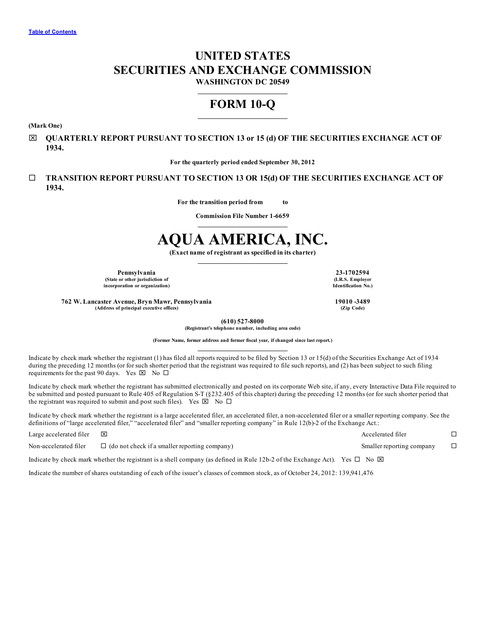# **UNITED STATES SECURITIES AND EXCHANGE COMMISSION**

**WASHINGTON DC 20549**

# **FORM 10-Q**

**(Mark One)**

x **QUARTERLY REPORT PURSUANT TO SECTION 13 or 15 (d) OF THE SECURITIES EXCHANGE ACT OF 1934.**

**For the quarterly period ended September 30, 2012**

¨ **TRANSITION REPORT PURSUANT TO SECTION 13 OR 15(d) OF THE SECURITIES EXCHANGE ACT OF 1934.**

**For the transition period from to**

**Commission File Number 1-6659**

# **AQUA AMERICA, INC.**

**(Exact name of registrant as specified in its charter)**

**Pennsylvania 23-1702594**<br> **23-1702594**<br> **23-1702594**<br> **23-1702594**<br> **23-1702594** 

**(State or other jurisdiction of incorporation or organization) Identification No.)**

**762 W. Lancaster Avenue, Bryn Mawr, Pennsylvania 19010 -3489 (Address of principal executive offices) (Zip Code)**

**(610) 527-8000 (Registrant's telephone number, including area code)**

**(Former Name, former address and former fiscal year, if changed since last report.)**

Indicate by check mark whether the registrant (1) has filed all reports required to be filed by Section 13 or 15(d) of the Securities Exchange Act of 1934 during the preceding 12 months (or for such shorter period that the registrant was required to file such reports), and (2) has been subject to such filing requirements for the past 90 days. Yes  $\boxtimes$  No  $\square$ 

Indicate by check mark whether the registrant has submitted electronically and posted on its corporate Web site, if any, every Interactive Data File required to be submitted and posted pursuant to Rule 405 of Regulation S-T (§232.405 of this chapter) during the preceding 12 months (or for such shorter period that the registrant was required to submit and post such files). Yes  $\boxtimes$  No  $\Box$ 

Indicate by check mark whether the registrant is a large accelerated filer, an accelerated filer, a non-accelerated filer or a smaller reporting company. See the definitions of "large accelerated filer," "accelerated filer" and "smaller reporting company" in Rule 12(b)-2 of the Exchange Act.:

| Large accelerated filer | ⊠                                                                                                                                          | Accelerated filer         |  |
|-------------------------|--------------------------------------------------------------------------------------------------------------------------------------------|---------------------------|--|
| Non-accelerated filer   | $\Box$ (do not check if a smaller reporting company)                                                                                       | Smaller reporting company |  |
|                         | Indicate by check mark whether the registrant is a shell company (as defined in Rule 12b-2 of the Exchange Act). Yes $\Box$ No $\boxtimes$ |                           |  |

Indicate the number of shares outstanding of each of the issuer's classes of common stock, as of October 24, 2012: 139,941,476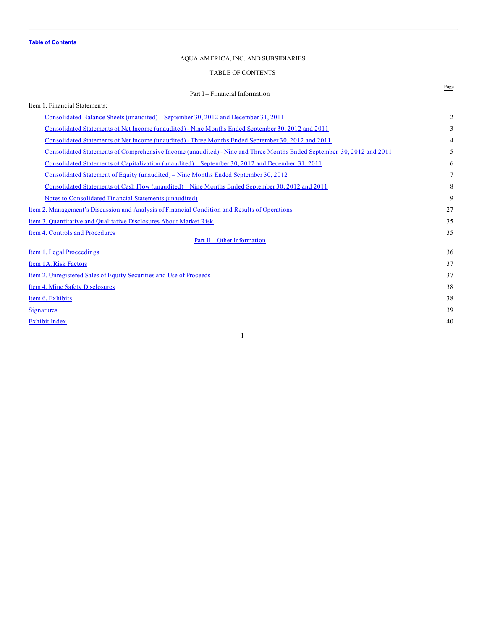## AQUA AMERICA, INC. AND SUBSIDIARIES

# TABLE OF CONTENTS

# <span id="page-1-0"></span>Page Part I – Financial Information Item 1. Financial Statements: [Consolidated](#page-2-0) Balance Sheets (unaudited) – September 30, 2012 and December 31, 2011 2 [Consolidated](#page-3-0) Statements of Net Income (unaudited) - Nine Months Ended September 30, 2012 and 2011 3 [Consolidated](#page-4-0) Statements of Net Income (unaudited) - Three Months Ended September 30, 2012 and 2011 4 Consolidated Statements of [Comprehensive](#page-5-0) Income (unaudited) - Nine and Three Months Ended September 30, 2012 and 2011 5 Consolidated Statements of [Capitalization](#page-6-0) (unaudited) – September 30, 2012 and December 31, 2011 6 [Consolidated](#page-7-0) Statement of Equity (unaudited) – Nine Months Ended September 30, 2012 7 [Consolidated](#page-8-0) Statements of Cash Flow (unaudited) – Nine Months Ended September 30, 2012 and 2011 8 Notes to [Consolidated](#page-9-0) Financial Statements (unaudited) 9 Item 2. [Management's](#page-27-0) Discussion and Analysis of Financial Condition and Results of Operations 27 Item 3. [Quantitative](#page-35-0) and Qualitative Disclosures About Market Risk 35 **Item 4. Controls and [Procedures](#page-35-0)** 35 Part II – Other [Information](#page-36-0) Item 1. Legal [Proceedings](#page-36-0) 36 Item 1A. Risk [Factors](#page-37-0) 37 Item 2. [Unregistered](#page-37-0) Sales of Equity Securities and Use of Proceeds 37 Item 4. Mine Safety [Disclosures](#page-38-0) 38 **Item 6. [Exhibits](#page-38-0)** 38 **[Signatures](#page-39-0)** 39  $\frac{1}{2}$  [Exhibit](#page-40-0) Index 40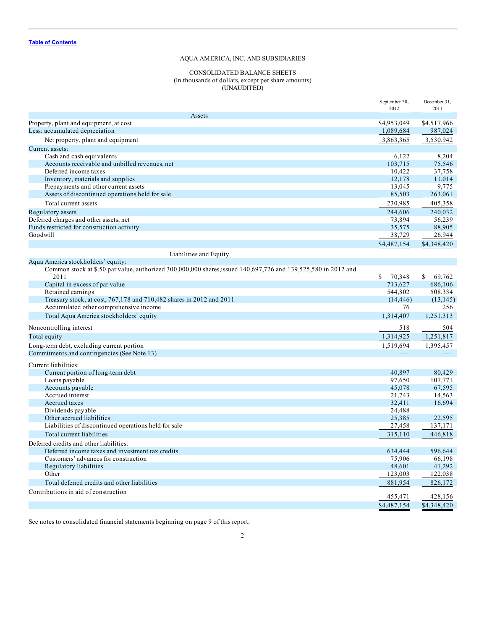## CONSOLIDATED BALANCE SHEETS (In thousands of dollars, except per share amounts) (UNAUDITED)

<span id="page-2-0"></span>

|                                                                                                                        | September 30,<br>2012 | December 31,<br>2011 |
|------------------------------------------------------------------------------------------------------------------------|-----------------------|----------------------|
| Assets                                                                                                                 |                       |                      |
| Property, plant and equipment, at cost                                                                                 | \$4,953,049           | \$4,517,966          |
| Less: accumulated depreciation                                                                                         | 1,089,684             | 987,024              |
| Net property, plant and equipment                                                                                      | 3,863,365             | 3,530,942            |
| Current assets:                                                                                                        |                       |                      |
| Cash and cash equivalents                                                                                              | 6,122                 | 8,204                |
| Accounts receivable and unbilled revenues, net                                                                         | 103,715               | 75,546               |
| Deferred income taxes                                                                                                  | 10,422                | 37,758               |
| Inventory, materials and supplies                                                                                      | 12,178                | 11,014               |
| Prepayments and other current assets                                                                                   | 13,045                | 9,775                |
| Assets of discontinued operations held for sale                                                                        | 85,503                | 263,061              |
| Total current assets                                                                                                   | 230,985               | 405,358              |
| Regulatory assets                                                                                                      | 244,606               | 240,032              |
| Deferred charges and other assets, net                                                                                 | 73,894                | 56,239               |
| Funds restricted for construction activity<br>Goodwill                                                                 | 35,575                | 88,905               |
|                                                                                                                        | 38,729                | 26,944               |
|                                                                                                                        | \$4,487,154           | \$4,348,420          |
| Liabilities and Equity                                                                                                 |                       |                      |
| Aqua America stockholders' equity:                                                                                     |                       |                      |
| Common stock at \$.50 par value, authorized 300,000,000 shares, issued 140,697,726 and 139,525,580 in 2012 and<br>2011 | \$<br>70,348          | \$<br>69,762         |
| Capital in excess of par value                                                                                         | 713,627               | 686,106              |
| Retained earnings                                                                                                      | 544,802               | 508,334              |
| Treasury stock, at cost, 767,178 and 710,482 shares in 2012 and 2011                                                   | (14, 446)             | (13, 145)            |
| Accumulated other comprehensive income                                                                                 | 76                    | 256                  |
| Total Aqua America stockholders' equity                                                                                | 1,314,407             | 1,251,313            |
| Noncontrolling interest                                                                                                | 518                   | 504                  |
| Total equity                                                                                                           | 1,314,925             | 1,251,817            |
| Long-term debt, excluding current portion                                                                              | 1,519,694             | 1,395,457            |
| Commitments and contingencies (See Note 13)                                                                            |                       |                      |
| Current liabilities:                                                                                                   |                       |                      |
| Current portion of long-term debt                                                                                      | 40,897                | 80,429               |
| Loans payable                                                                                                          | 97,650                | 107,771              |
| Accounts payable                                                                                                       | 45,078                | 67,595               |
| Accrued interest                                                                                                       | 21,743                | 14,563               |
| Accrued taxes                                                                                                          | 32,411                | 16,694               |
| Dividends payable                                                                                                      | 24,488                |                      |
| Other accrued liabilities<br>Liabilities of discontinued operations held for sale                                      | 25,385<br>27,458      | 22,595<br>137,171    |
|                                                                                                                        |                       |                      |
| Total current liabilities                                                                                              | 315,110               | 446,818              |
| Deferred credits and other liabilities:                                                                                |                       |                      |
| Deferred income taxes and investment tax credits                                                                       | 634,444               | 596.644              |
| Customers' advances for construction<br>Regulatory liabilities                                                         | 75,906<br>48,601      | 66,198<br>41,292     |
| Other                                                                                                                  | 123,003               | 122,038              |
| Total deferred credits and other liabilities                                                                           |                       |                      |
|                                                                                                                        | 881,954               | 826,172              |
| Contributions in aid of construction                                                                                   | 455,471               | 428,156              |
|                                                                                                                        | \$4,487,154           | \$4,348,420          |

See notes to consolidated financial statements beginning on page 9 of this report.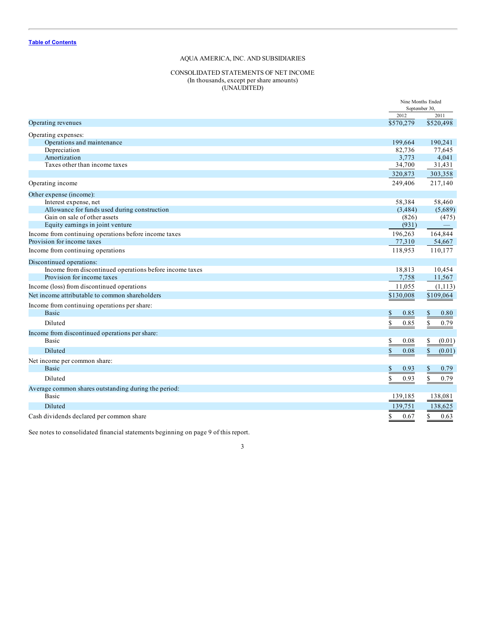# CONSOLIDATED STATEMENTS OF NET INCOME (In thousands, except per share amounts) (UNAUDITED)

<span id="page-3-0"></span>

|                                                         | Nine Months Ended<br>September 30, |                          |
|---------------------------------------------------------|------------------------------------|--------------------------|
|                                                         | 2012                               | 2011                     |
| Operating revenues                                      | \$570,279                          | \$520,498                |
| Operating expenses:                                     |                                    |                          |
| Operations and maintenance                              | 199,664                            | 190,241                  |
| Depreciation                                            | 82,736                             | 77,645                   |
| Amortization                                            | 3,773                              | 4,041                    |
| Taxes other than income taxes                           | 34,700                             | 31,431                   |
|                                                         | 320,873                            | 303,358                  |
| Operating income                                        | 249,406                            | 217,140                  |
| Other expense (income):                                 |                                    |                          |
| Interest expense, net                                   | 58,384                             | 58,460                   |
| Allowance for funds used during construction            | (3,484)                            | (5,689)                  |
| Gain on sale of other assets                            | (826)                              | (475)                    |
| Equity earnings in joint venture                        | (931)                              | $\overline{\phantom{m}}$ |
| Income from continuing operations before income taxes   | 196,263                            | 164,844                  |
| Provision for income taxes                              | 77,310                             | 54,667                   |
| Income from continuing operations                       | 118,953                            | 110,177                  |
| Discontinued operations:                                |                                    |                          |
| Income from discontinued operations before income taxes | 18,813                             | 10,454                   |
| Provision for income taxes                              | 7,758                              | 11,567                   |
| Income (loss) from discontinued operations              | 11,055                             | (1, 113)                 |
| Net income attributable to common shareholders          | \$130,008                          | \$109,064                |
| Income from continuing operations per share:            |                                    |                          |
| <b>Basic</b>                                            | \$<br>0.85                         | \$<br>0.80               |
| Diluted                                                 | \$<br>0.85                         | \$<br>0.79               |
| Income from discontinued operations per share:          |                                    |                          |
| <b>Basic</b>                                            | \$<br>0.08                         | \$<br>(0.01)             |
| Diluted                                                 | $\mathbb{S}$<br>0.08               | $\mathbb{S}$<br>(0.01)   |
| Net income per common share:                            |                                    |                          |
| <b>Basic</b>                                            | \$<br>0.93                         | \$<br>0.79               |
| Diluted                                                 | \$<br>0.93                         | \$<br>0.79               |
| Average common shares outstanding during the period:    |                                    |                          |
| <b>Basic</b>                                            | 139,185                            | 138,081                  |
| Diluted                                                 | 139,751                            | 138,625                  |
| Cash dividends declared per common share                | \$<br>0.67                         | \$<br>0.63               |

See notes to consolidated financial statements beginning on page 9 of this report.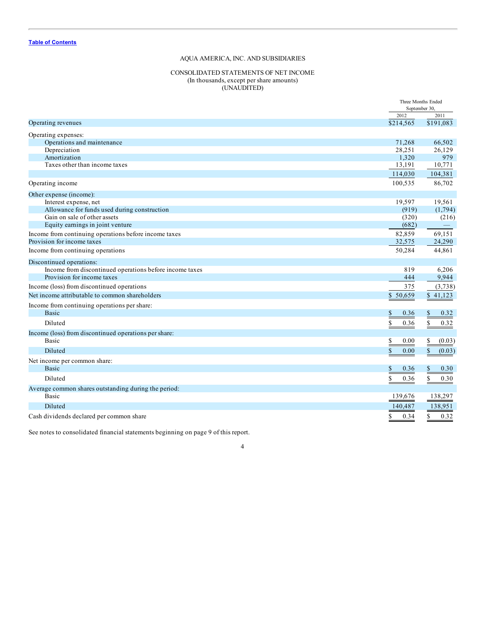# CONSOLIDATED STATEMENTS OF NET INCOME (In thousands, except per share amounts) (UNAUDITED)

<span id="page-4-0"></span>

|                                                         | Three Months Ended<br>September 30, |                        |
|---------------------------------------------------------|-------------------------------------|------------------------|
|                                                         | 2012                                | 2011                   |
| Operating revenues                                      | \$214,565                           | \$191,083              |
| Operating expenses:                                     |                                     |                        |
| Operations and maintenance                              | 71,268                              | 66,502                 |
| Depreciation                                            | 28,251                              | 26,129                 |
| Amortization                                            | 1,320                               | 979                    |
| Taxes other than income taxes                           | 13,191                              | 10,771                 |
|                                                         | 114,030                             | 104,381                |
| Operating income                                        | 100,535                             | 86,702                 |
| Other expense (income):                                 |                                     |                        |
| Interest expense, net                                   | 19,597                              | 19,561                 |
| Allowance for funds used during construction            | (919)                               | (1,794)                |
| Gain on sale of other assets                            | (320)                               | (216)                  |
| Equity earnings in joint venture                        | (682)                               |                        |
| Income from continuing operations before income taxes   | 82,859                              | 69,151                 |
| Provision for income taxes                              | 32,575                              | 24,290                 |
| Income from continuing operations                       | 50,284                              | 44,861                 |
| Discontinued operations:                                |                                     |                        |
| Income from discontinued operations before income taxes | 819                                 | 6,206                  |
| Provision for income taxes                              | 444                                 | 9,944                  |
| Income (loss) from discontinued operations              | 375                                 | (3,738)                |
| Net income attributable to common shareholders          | \$50,659                            | \$41,123               |
| Income from continuing operations per share:            |                                     |                        |
| <b>Basic</b>                                            | \$<br>0.36                          | \$<br>0.32             |
| Diluted                                                 | \$<br>0.36                          | \$<br>0.32             |
| Income (loss) from discontinued operations per share:   |                                     |                        |
| <b>Basic</b>                                            | \$<br>0.00                          | \$<br>(0.03)           |
| Diluted                                                 | \$<br>0.00                          | $\mathbb{S}$<br>(0.03) |
| Net income per common share:                            |                                     |                        |
| <b>Basic</b>                                            | \$<br>0.36                          | \$<br>0.30             |
| Diluted                                                 | \$<br>0.36                          | \$<br>0.30             |
| Average common shares outstanding during the period:    |                                     |                        |
| Basic                                                   | 139,676                             | 138,297                |
| Diluted                                                 | 140,487                             | 138,951                |
| Cash dividends declared per common share                | \$<br>0.34                          | \$<br>0.32             |

See notes to consolidated financial statements beginning on page 9 of this report.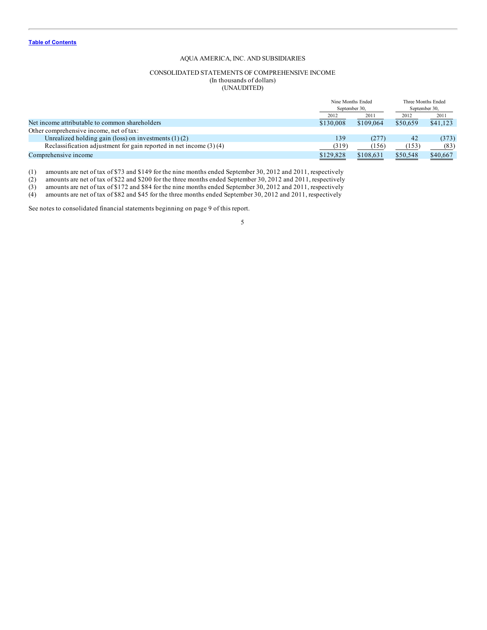#### CONSOLIDATED STATEMENTS OF COMPREHENSIVE INCOME (In thousands of dollars) (UNAUDITED)

<span id="page-5-0"></span>

|                                                                      | Nine Months Ended<br>September 30. |           | Three Months Ended<br>September 30. |          |
|----------------------------------------------------------------------|------------------------------------|-----------|-------------------------------------|----------|
|                                                                      | 2012                               | 2011      | 2012                                | 2011     |
| Net income attributable to common shareholders                       | \$130,008                          | \$109,064 | \$50,659                            | \$41,123 |
| Other comprehensive income, net of tax:                              |                                    |           |                                     |          |
| Unrealized holding gain (loss) on investments $(1)(2)$               | 139                                | (277)     | 42                                  | (373)    |
| Reclassification adjustment for gain reported in net income $(3)(4)$ | (319)                              | (156)     | (153)                               | (83)     |
| Comprehensive income                                                 | \$129,828                          | \$108,631 | \$50,548                            | \$40,667 |

(1) amounts are net of tax of \$73 and \$149 for the nine months ended September 30, 2012 and 2011, respectively

(2) amounts are net of tax of \$22 and \$200 for the three months ended September 30, 2012 and 2011, respectively

(3) amounts are net of tax of \$172 and \$84 for the nine months ended September 30, 2012 and 2011, respectively

(4) amounts are net of tax of \$82 and \$45 for the three months ended September 30, 2012 and 2011, respectively

See notes to consolidated financial statements beginning on page 9 of this report.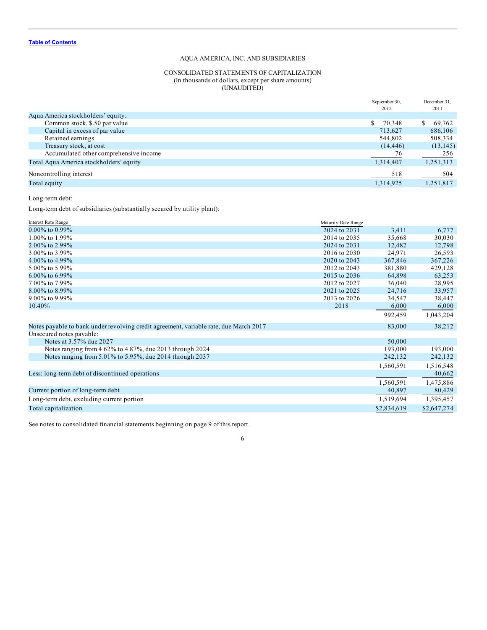# CONSOLIDATED STATEMENTS OF CAPITALIZATION (In thousands of dollars, except per share amounts) (UNAUDITED)

<span id="page-6-0"></span>

|                                         | September 30, | December 31, |
|-----------------------------------------|---------------|--------------|
|                                         | 2012          | 2011         |
| Aqua America stockholders' equity:      |               |              |
| Common stock, \$.50 par value           | S.<br>70,348  | 69,762<br>S. |
| Capital in excess of par value          | 713.627       | 686,106      |
| Retained earnings                       | 544,802       | 508,334      |
| Treasury stock, at cost                 | (14, 446)     | (13, 145)    |
| Accumulated other comprehensive income  | 76            | 256          |
| Total Aqua America stockholders' equity | 1,314,407     | 1,251,313    |
| Noncontrolling interest                 | 518           | 504          |
| Total equity                            | 1,314,925     | 1,251,817    |
|                                         |               |              |

Long-term debt:

Long-term debt of subsidiaries (substantially secured by utility plant):

| <b>Interest Rate Range</b>                                                            | Maturity Date Range |             |             |
|---------------------------------------------------------------------------------------|---------------------|-------------|-------------|
| $0.00\%$ to $0.99\%$                                                                  | 2024 to 2031        | 3,411       | 6,777       |
| 1.00% to 1.99%                                                                        | 2014 to 2035        | 35,668      | 30,030      |
| 2.00% to 2.99%                                                                        | 2024 to 2031        | 12,482      | 12,798      |
| 3.00% to 3.99%                                                                        | 2016 to 2030        | 24,971      | 26,593      |
| 4.00% to 4.99%                                                                        | 2020 to 2043        | 367,846     | 367,226     |
| 5.00% to 5.99%                                                                        | 2012 to 2043        | 381,880     | 429,128     |
| 6.00% to 6.99%                                                                        | 2015 to 2036        | 64,898      | 63,253      |
| 7.00% to 7.99%                                                                        | 2012 to 2027        | 36,040      | 28,995      |
| 8.00% to 8.99%                                                                        | 2021 to 2025        | 24,716      | 33,957      |
| 9.00% to 9.99%                                                                        | 2013 to 2026        | 34,547      | 38,447      |
| 10.40%                                                                                | 2018                | 6,000       | 6,000       |
|                                                                                       |                     | 992,459     | 1,043,204   |
| Notes payable to bank under revolving credit agreement, variable rate, due March 2017 |                     | 83,000      | 38,212      |
| Unsecured notes payable:                                                              |                     |             |             |
| Notes at 3.57% due 2027                                                               |                     | 50,000      |             |
| Notes ranging from 4.62% to 4.87%, due 2013 through 2024                              |                     | 193,000     | 193,000     |
| Notes ranging from 5.01% to 5.95%, due 2014 through 2037                              |                     | 242,132     | 242,132     |
|                                                                                       |                     | 1,560,591   | 1,516,548   |
| Less: long-term debt of discontinued operations                                       |                     |             | 40,662      |
|                                                                                       |                     | 1,560,591   | 1,475,886   |
| Current portion of long-term debt                                                     |                     | 40,897      | 80,429      |
| Long-term debt, excluding current portion                                             |                     | 1,519,694   | 1,395,457   |
| Total capitalization                                                                  |                     | \$2,834,619 | \$2,647,274 |

See notes to consolidated financial statements beginning on page 9 of this report.

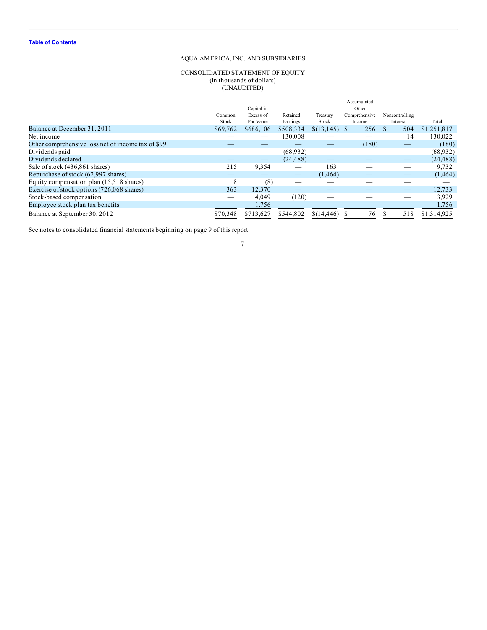# CONSOLIDATED STATEMENT OF EQUITY (In thousands of dollars) (UNAUDITED)

<span id="page-7-0"></span>

|                                                    | Common<br>Stock | Capital in<br>Excess of<br>Par Value | Retained<br>Earnings | Treasury<br>Stock | Accumulated<br>Other<br>Comprehensive<br>Income | Noncontrolling<br>Interest | Total       |
|----------------------------------------------------|-----------------|--------------------------------------|----------------------|-------------------|-------------------------------------------------|----------------------------|-------------|
| Balance at December 31, 2011                       | \$69,762        | \$686,106                            | \$508,334            | \$(13,145)        | 256                                             | 504                        | \$1,251,817 |
| Net income                                         |                 |                                      | 130,008              |                   |                                                 | 14                         | 130.022     |
| Other comprehensive loss net of income tax of \$99 |                 |                                      |                      |                   | (180)                                           | $-$                        | (180)       |
| Dividends paid                                     |                 | —                                    | (68, 932)            |                   |                                                 |                            | (68, 932)   |
| Dividends declared                                 |                 |                                      | (24, 488)            |                   |                                                 |                            | (24, 488)   |
| Sale of stock (436,861 shares)                     | 215             | 9,354                                |                      | 163               |                                                 |                            | 9,732       |
| Repurchase of stock (62,997 shares)                |                 |                                      |                      | (1,464)           |                                                 |                            | (1, 464)    |
| Equity compensation plan (15,518 shares)           | 8               | (8)                                  |                      |                   |                                                 |                            |             |
| Exercise of stock options (726,068 shares)         | 363             | 12,370                               |                      |                   |                                                 | $-$                        | 12,733      |
| Stock-based compensation                           |                 | 4,049                                | (120)                |                   |                                                 |                            | 3,929       |
| Employee stock plan tax benefits                   |                 | 1,756                                |                      |                   |                                                 |                            | 1,756       |
| Balance at September 30, 2012                      | \$70,348        | \$713,627                            | \$544,802            | \$(14,446)        | 76                                              | 518                        | \$1,314,925 |

See notes to consolidated financial statements beginning on page 9 of this report.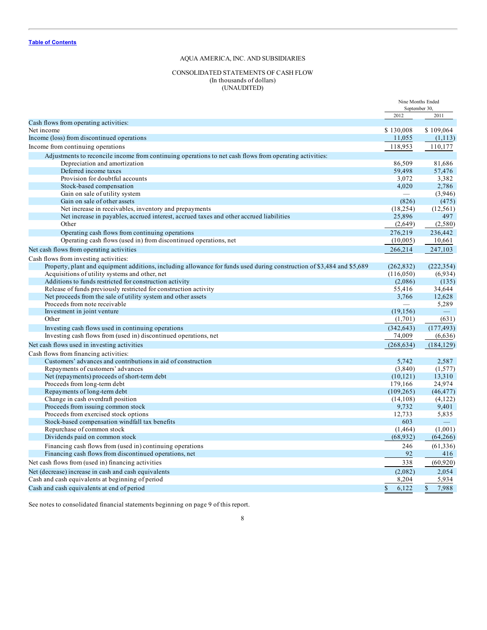# CONSOLIDATED STATEMENTS OF CASH FLOW (In thousands of dollars) (UNAUDITED)

<span id="page-8-0"></span>

|                                                                                                                        | Nine Months Ended<br>September 30, |                       |
|------------------------------------------------------------------------------------------------------------------------|------------------------------------|-----------------------|
|                                                                                                                        | 2012                               | 2011                  |
| Cash flows from operating activities:                                                                                  |                                    |                       |
| Net income                                                                                                             | \$130,008                          | \$109,064             |
| Income (loss) from discontinued operations                                                                             | 11,055                             | (1, 113)              |
| Income from continuing operations                                                                                      | 118,953                            | 110,177               |
| Adjustments to reconcile income from continuing operations to net cash flows from operating activities:                |                                    |                       |
| Depreciation and amortization                                                                                          | 86,509                             | 81,686                |
| Deferred income taxes                                                                                                  | 59,498                             | 57,476                |
| Provision for doubtful accounts                                                                                        | 3.072                              | 3,382                 |
| Stock-based compensation                                                                                               | 4,020                              | 2,786                 |
| Gain on sale of utility system                                                                                         | $\overline{\phantom{0}}$           | (3,946)               |
| Gain on sale of other assets                                                                                           | (826)                              | (475)                 |
| Net increase in receivables, inventory and prepayments                                                                 | (18, 254)                          | (12, 561)             |
| Net increase in payables, accrued interest, accrued taxes and other accrued liabilities                                | 25,896                             | 497                   |
| Other                                                                                                                  | (2,649)                            | (2,580)               |
| Operating cash flows from continuing operations                                                                        | 276,219                            | 236,442               |
| Operating cash flows (used in) from discontinued operations, net                                                       | (10,005)                           | 10,661                |
| Net cash flows from operating activities                                                                               | 266,214                            | 247,103               |
| Cash flows from investing activities:                                                                                  |                                    |                       |
| Property, plant and equipment additions, including allowance for funds used during construction of \$3,484 and \$5,689 | (262, 832)                         | (222, 354)            |
| Acquisitions of utility systems and other, net                                                                         | (116,050)                          | (6,934)               |
| Additions to funds restricted for construction activity                                                                | (2,086)                            | (135)                 |
| Release of funds previously restricted for construction activity                                                       | 55,416                             | 34,644                |
| Net proceeds from the sale of utility system and other assets                                                          | 3,766                              | 12,628                |
| Proceeds from note receivable                                                                                          |                                    | 5,289                 |
| Investment in joint venture                                                                                            | (19, 156)                          |                       |
| Other                                                                                                                  | (1,701)                            | (631)                 |
| Investing cash flows used in continuing operations                                                                     | (342, 643)                         | (177, 493)            |
| Investing cash flows from (used in) discontinued operations, net                                                       | 74,009                             | (6,636)               |
| Net cash flows used in investing activities                                                                            | (268, 634)                         | (184, 129)            |
| Cash flows from financing activities:                                                                                  |                                    |                       |
| Customers' advances and contributions in aid of construction                                                           | 5,742                              | 2,587                 |
| Repayments of customers' advances                                                                                      | (3,840)                            | (1,577)               |
| Net (repayments) proceeds of short-term debt                                                                           | (10, 121)                          | 13,310                |
| Proceeds from long-term debt                                                                                           | 179,166                            | 24,974                |
| Repayments of long-term debt                                                                                           | (109, 265)                         | (46, 477)             |
| Change in cash overdraft position                                                                                      | (14,108)                           | (4,122)               |
| Proceeds from issuing common stock                                                                                     | 9,732                              | 9,401                 |
| Proceeds from exercised stock options                                                                                  | 12,733                             | 5,835                 |
| Stock-based compensation windfall tax benefits                                                                         | 603                                |                       |
| Repurchase of common stock                                                                                             | (1, 464)                           | (1,001)               |
| Dividends paid on common stock                                                                                         | (68, 932)                          | (64,266)              |
| Financing cash flows from (used in) continuing operations                                                              | 246                                | (61, 336)             |
| Financing cash flows from discontinued operations, net                                                                 | 92                                 | 416                   |
| Net cash flows from (used in) financing activities                                                                     | 338                                | (60, 920)             |
| Net (decrease) increase in cash and cash equivalents                                                                   | (2,082)                            | 2,054                 |
| Cash and cash equivalents at beginning of period                                                                       | 8,204                              | 5,934                 |
| Cash and cash equivalents at end of period                                                                             | $\mathbf S$<br>6,122               | 7,988<br>$\mathbb{S}$ |
|                                                                                                                        |                                    |                       |

See notes to consolidated financial statements beginning on page 9 of this report.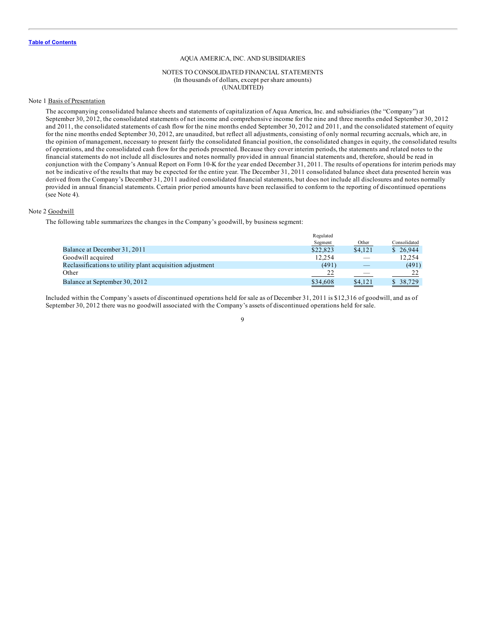#### NOTES TO CONSOLIDATED FINANCIAL STATEMENTS (In thousands of dollars, except per share amounts) (UNAUDITED)

# <span id="page-9-0"></span>Note 1 Basis of Presentation

The accompanying consolidated balance sheets and statements of capitalization of Aqua America, Inc. and subsidiaries (the "Company") at September 30, 2012, the consolidated statements of net income and comprehensive income for the nine and three months ended September 30, 2012 and 2011, the consolidated statements of cash flow for the nine months ended September 30, 2012 and 2011, and the consolidated statement of equity for the nine months ended September 30, 2012, are unaudited, but reflect all adjustments, consisting of only normal recurring accruals, which are, in the opinion of management, necessary to present fairly the consolidated financial position, the consolidated changes in equity, the consolidated results of operations, and the consolidated cash flow for the periods presented. Because they cover interim periods, the statements and related notes to the financial statements do not include all disclosures and notes normally provided in annual financial statements and, therefore, should be read in conjunction with the Company's Annual Report on Form 10-K for the year ended December 31, 2011. The results of operations for interim periods may not be indicative of the results that may be expected for the entire year. The December 31, 2011 consolidated balance sheet data presented herein was derived from the Company's December 31, 2011 audited consolidated financial statements, but does not include all disclosures and notes normally provided in annual financial statements. Certain prior period amounts have been reclassified to conform to the reporting of discontinued operations (see Note 4).

#### Note 2 Goodwill

The following table summarizes the changes in the Company's goodwill, by business segment:

|                                                           | Regulated |         |              |
|-----------------------------------------------------------|-----------|---------|--------------|
|                                                           | Segment   | Other   | Consolidated |
| Balance at December 31, 2011                              | \$22,823  | \$4.121 | \$26.944     |
| Goodwill acquired                                         | 12.254    |         | 12.254       |
| Reclassifications to utility plant acquisition adjustment | (491)     |         | (491)        |
| Other                                                     | 22        |         | つつ           |
| Balance at September 30, 2012                             | \$34,608  | \$4,121 | \$ 38,729    |

Included within the Company's assets of discontinued operations held for sale as of December 31, 2011 is \$12,316 of goodwill, and as of September 30, 2012 there was no goodwill associated with the Company's assets of discontinued operations held for sale.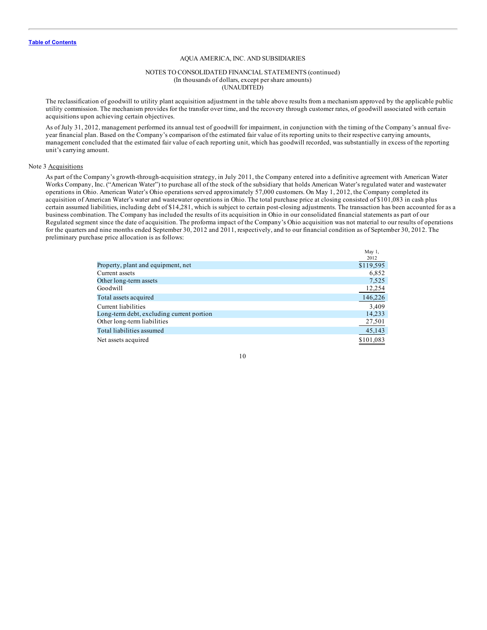#### NOTES TO CONSOLIDATED FINANCIAL STATEMENTS (continued) (In thousands of dollars, except per share amounts) (UNAUDITED)

The reclassification of goodwill to utility plant acquisition adjustment in the table above results from a mechanism approved by the applicable public utility commission. The mechanism provides for the transfer over time, and the recovery through customer rates, of goodwill associated with certain acquisitions upon achieving certain objectives.

As of July 31, 2012, management performed its annual test of goodwill for impairment, in conjunction with the timing of the Company's annual fiveyear financial plan. Based on the Company's comparison of the estimated fair value of its reporting units to their respective carrying amounts, management concluded that the estimated fair value of each reporting unit, which has goodwill recorded, was substantially in excess of the reporting unit's carrying amount.

#### Note 3 Acquisitions

As part of the Company's growth-through-acquisition strategy, in July 2011, the Company entered into a definitive agreement with American Water Works Company, Inc. ("American Water") to purchase all of the stock of the subsidiary that holds American Water's regulated water and wastewater operations in Ohio. American Water's Ohio operations served approximately 57,000 customers. On May 1, 2012, the Company completed its acquisition of American Water's water and wastewater operations in Ohio. The total purchase price at closing consisted of \$101,083 in cash plus certain assumed liabilities, including debt of \$14,281, which is subject to certain post-closing adjustments. The transaction has been accounted for as a business combination. The Company has included the results of its acquisition in Ohio in our consolidated financial statements as part of our Regulated segment since the date of acquisition. The proforma impact of the Company's Ohio acquisition was not material to our results of operations for the quarters and nine months ended September 30, 2012 and 2011, respectively, and to our financial condition as of September 30, 2012. The preliminary purchase price allocation is as follows:

May 1

|                                           | 2012      |
|-------------------------------------------|-----------|
| Property, plant and equipment, net        | \$119,595 |
| Current assets                            | 6,852     |
| Other long-term assets                    | 7,525     |
| Goodwill                                  | 12,254    |
| Total assets acquired                     | 146,226   |
| Current liabilities                       | 3,409     |
| Long-term debt, excluding current portion | 14,233    |
| Other long-term liabilities               | 27,501    |
| Total liabilities assumed                 | 45,143    |
| Net assets acquired                       | \$101,083 |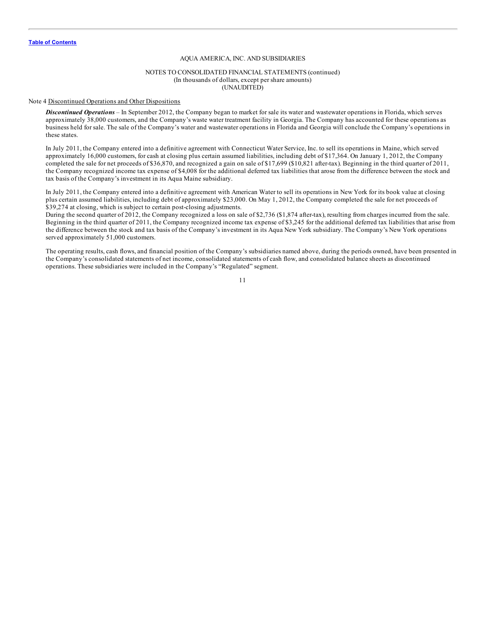#### NOTES TO CONSOLIDATED FINANCIAL STATEMENTS (continued) (In thousands of dollars, except per share amounts) (UNAUDITED)

#### Note 4 Discontinued Operations and Other Dispositions

*Discontinued Operations* – In September 2012, the Company began to market for sale its water and wastewater operations in Florida, which serves approximately 38,000 customers, and the Company's waste water treatment facility in Georgia. The Company has accounted for these operations as business held for sale. The sale of the Company's water and wastewater operations in Florida and Georgia will conclude the Company's operations in these states.

In July 2011, the Company entered into a definitive agreement with Connecticut Water Service, Inc. to sell its operations in Maine, which served approximately 16,000 customers, for cash at closing plus certain assumed liabilities, including debt of \$17,364. On January 1, 2012, the Company completed the sale for net proceeds of \$36,870, and recognized a gain on sale of \$17,699 (\$10,821 after-tax). Beginning in the third quarter of 2011, the Company recognized income tax expense of \$4,008 for the additional deferred tax liabilities that arose from the difference between the stock and tax basis of the Company's investment in its Aqua Maine subsidiary.

In July 2011, the Company entered into a definitive agreement with American Water to sell its operations in New York for its book value at closing plus certain assumed liabilities, including debt of approximately \$23,000. On May 1, 2012, the Company completed the sale for net proceeds of \$39,274 at closing, which is subject to certain post-closing adjustments.

During the second quarter of 2012, the Company recognized a loss on sale of \$2,736 (\$1,874 after-tax), resulting from charges incurred from the sale. Beginning in the third quarter of 2011, the Company recognized income tax expense of \$3,245 for the additional deferred tax liabilities that arise from the difference between the stock and tax basis of the Company's investment in its Aqua New York subsidiary. The Company's New York operations served approximately 51,000 customers.

The operating results, cash flows, and financial position of the Company's subsidiaries named above, during the periods owned, have been presented in the Company's consolidated statements of net income, consolidated statements of cash flow, and consolidated balance sheets as discontinued operations. These subsidiaries were included in the Company's "Regulated" segment.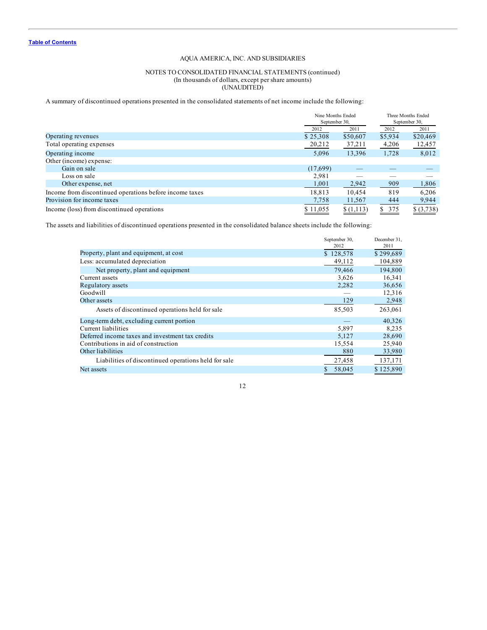# NOTES TO CONSOLIDATED FINANCIAL STATEMENTS (continued) (In thousands of dollars, except per share amounts) (UNAUDITED)

A summary of discontinued operations presented in the consolidated statements of net income include the following:

|                                                         |          | Nine Months Ended<br>September 30, |         | Three Months Ended<br>September 30, |
|---------------------------------------------------------|----------|------------------------------------|---------|-------------------------------------|
|                                                         | 2012     | 2011                               | 2012    | 2011                                |
| Operating revenues                                      | \$25,308 | \$50,607                           | \$5,934 | \$20,469                            |
| Total operating expenses                                | 20,212   | 37,211                             | 4,206   | 12,457                              |
| Operating income                                        | 5,096    | 13,396                             | 1,728   | 8,012                               |
| Other (income) expense:                                 |          |                                    |         |                                     |
| Gain on sale                                            | (17,699) |                                    |         |                                     |
| Loss on sale                                            | 2,981    |                                    |         |                                     |
| Other expense, net                                      | 1,001    | 2,942                              | 909     | 1,806                               |
| Income from discontinued operations before income taxes | 18,813   | 10.454                             | 819     | 6,206                               |
| Provision for income taxes                              | 7,758    | 11,567                             | 444     | 9,944                               |
| Income (loss) from discontinued operations              | \$11,055 | \$(1,113)                          | \$375   | \$ (3,738)                          |

The assets and liabilities of discontinued operations presented in the consolidated balance sheets include the following:

|                                                      | September 30, | December 31, |
|------------------------------------------------------|---------------|--------------|
|                                                      | 2012          | 2011         |
| Property, plant and equipment, at cost               | \$128,578     | \$299,689    |
| Less: accumulated depreciation                       | 49,112        | 104,889      |
| Net property, plant and equipment                    | 79,466        | 194.800      |
| Current assets                                       | 3,626         | 16,341       |
| Regulatory assets                                    | 2,282         | 36,656       |
| Goodwill                                             |               | 12,316       |
| Other assets                                         | 129           | 2,948        |
| Assets of discontinued operations held for sale      | 85,503        | 263,061      |
| Long-term debt, excluding current portion            |               | 40,326       |
| Current liabilities                                  | 5,897         | 8.235        |
| Deferred income taxes and investment tax credits     | 5,127         | 28,690       |
| Contributions in aid of construction                 | 15,554        | 25,940       |
| Other liabilities                                    | 880           | 33,980       |
| Liabilities of discontinued operations held for sale | 27,458        | 137,171      |
| Net assets                                           | 58,045        | \$125,890    |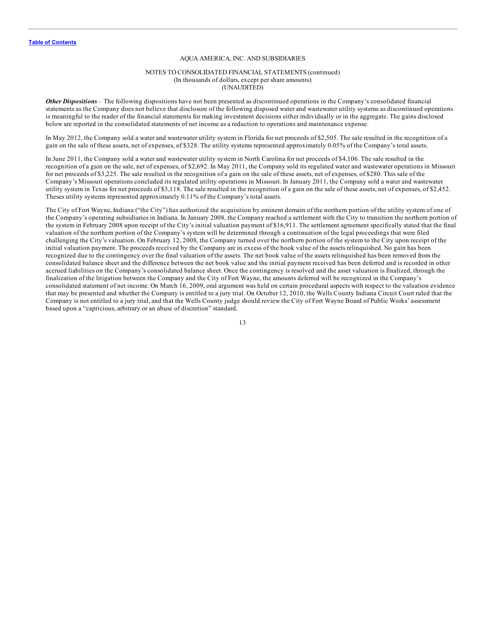## NOTES TO CONSOLIDATED FINANCIAL STATEMENTS (continued) (In thousands of dollars, except per share amounts) (UNAUDITED)

*Other Dispositions* – The following dispositions have not been presented as discontinued operations in the Company's consolidated financial statements as the Company does not believe that disclosure of the following disposed water and wastewater utility systems as discontinued operations is meaningful to the reader of the financial statements for making investment decisions either individually or in the aggregate. The gains disclosed below are reported in the consolidated statements of net income as a reduction to operations and maintenance expense.

In May 2012, the Company sold a water and wastewater utility system in Florida for net proceeds of \$2,505. The sale resulted in the recognition of a gain on the sale of these assets, net of expenses, of \$328. The utility systems represented approximately 0.05% of the Company's total assets.

In June 2011, the Company sold a water and wastewater utility system in North Carolina for net proceeds of \$4,106. The sale resulted in the recognition of a gain on the sale, net of expenses, of \$2,692. In May 2011, the Company sold its regulated water and wastewater operations in Missouri for net proceeds of \$3,225. The sale resulted in the recognition of a gain on the sale of these assets, net of expenses, of \$280. This sale of the Company's Missouri operations concluded its regulated utility operations in Missouri. In January 2011, the Company sold a water and wastewater utility system in Texas for net proceeds of \$3,118. The sale resulted in the recognition of a gain on the sale of these assets, net of expenses, of \$2,452. Theses utility systems represented approximately 0.11% of the Company's total assets.

The City of Fort Wayne, Indiana ("the City") has authorized the acquisition by eminent domain of the northern portion of the utility system of one of the Company's operating subsidiaries in Indiana. In January 2008, the Company reached a settlement with the City to transition the northern portion of the system in February 2008 upon receipt of the City's initial valuation payment of \$16,911. The settlement agreement specifically stated that the final valuation of the northern portion of the Company's system will be determined through a continuation of the legal proceedings that were filed challenging the City's valuation. On February 12, 2008, the Company turned over the northern portion of the system to the City upon receipt of the initial valuation payment. The proceeds received by the Company are in excess of the book value of the assets relinquished. No gain has been recognized due to the contingency over the final valuation of the assets. The net book value of the assets relinquished has been removed from the consolidated balance sheet and the difference between the net book value and the initial payment received has been deferred and is recorded in other accrued liabilities on the Company's consolidated balance sheet. Once the contingency is resolved and the asset valuation is finalized, through the finalization of the litigation between the Company and the City of Fort Wayne, the amounts deferred will be recognized in the Company's consolidated statement of net income. On March 16, 2009, oral argument was held on certain procedural aspects with respect to the valuation evidence that may be presented and whether the Company is entitled to a jury trial. On October 12, 2010, the Wells County Indiana Circuit Court ruled that the Company is not entitled to a jury trial, and that the Wells County judge should review the City of Fort Wayne Board of Public Works' assessment based upon a "capricious, arbitrary or an abuse of discretion" standard.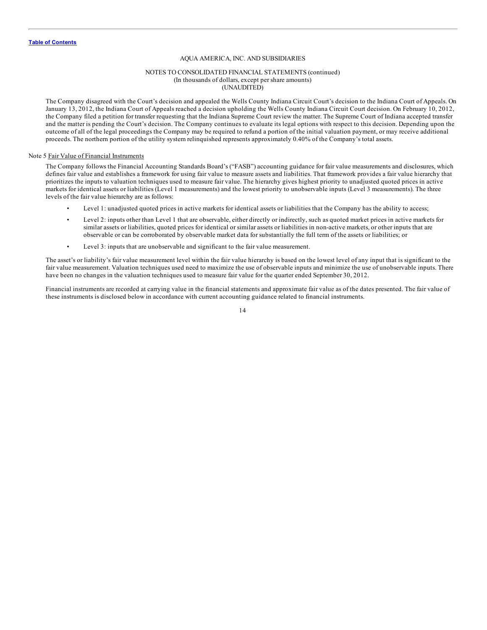#### NOTES TO CONSOLIDATED FINANCIAL STATEMENTS (continued) (In thousands of dollars, except per share amounts) (UNAUDITED)

The Company disagreed with the Court's decision and appealed the Wells County Indiana Circuit Court's decision to the Indiana Court of Appeals. On January 13, 2012, the Indiana Court of Appeals reached a decision upholding the Wells County Indiana Circuit Court decision. On February 10, 2012, the Company filed a petition for transfer requesting that the Indiana Supreme Court review the matter. The Supreme Court of Indiana accepted transfer and the matter is pending the Court's decision. The Company continues to evaluate its legal options with respect to this decision. Depending upon the outcome of all of the legal proceedings the Company may be required to refund a portion of the initial valuation payment, or may receive additional proceeds. The northern portion of the utility system relinquished represents approximately 0.40% of the Company's total assets.

#### Note 5 Fair Value of Financial Instruments

The Company follows the Financial Accounting Standards Board's ("FASB") accounting guidance for fair value measurements and disclosures, which defines fair value and establishes a framework for using fair value to measure assets and liabilities. That framework provides a fair value hierarchy that prioritizes the inputs to valuation techniques used to measure fair value. The hierarchy gives highest priority to unadjusted quoted prices in active markets for identical assets or liabilities (Level 1 measurements) and the lowest priority to unobservable inputs (Level 3 measurements). The three levels of the fair value hierarchy are as follows:

- Level 1: unadjusted quoted prices in active markets for identical assets or liabilities that the Company has the ability to access;
- Level 2: inputs other than Level 1 that are observable, either directly or indirectly, such as quoted market prices in active markets for similar assets or liabilities, quoted prices for identical or similar assets or liabilities in non-active markets, or other inputs that are observable or can be corroborated by observable market data for substantially the full term of the assets or liabilities; or
- Level 3: inputs that are unobservable and significant to the fair value measurement.

The asset's or liability's fair value measurement level within the fair value hierarchy is based on the lowest level of any input that is significant to the fair value measurement. Valuation techniques used need to maximize the use of observable inputs and minimize the use of unobservable inputs. There have been no changes in the valuation techniques used to measure fair value for the quarter ended September 30, 2012.

Financial instruments are recorded at carrying value in the financial statements and approximate fair value as of the dates presented. The fair value of these instruments is disclosed below in accordance with current accounting guidance related to financial instruments.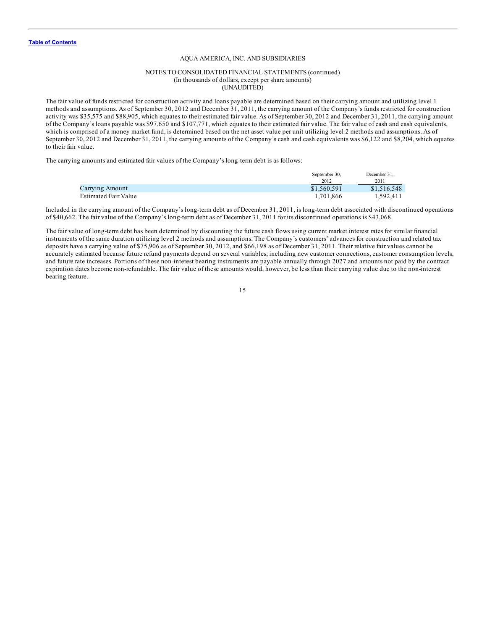#### NOTES TO CONSOLIDATED FINANCIAL STATEMENTS (continued) (In thousands of dollars, except per share amounts) (UNAUDITED)

The fair value of funds restricted for construction activity and loans payable are determined based on their carrying amount and utilizing level 1 methods and assumptions. As of September 30, 2012 and December 31, 2011, the carrying amount of the Company's funds restricted for construction activity was \$35,575 and \$88,905, which equates to their estimated fair value. As of September 30, 2012 and December 31, 2011, the carrying amount of the Company's loans payable was \$97,650 and \$107,771, which equates to their estimated fair value. The fair value of cash and cash equivalents, which is comprised of a money market fund, is determined based on the net asset value per unit utilizing level 2 methods and assumptions. As of September 30, 2012 and December 31, 2011, the carrying amounts of the Company's cash and cash equivalents was \$6,122 and \$8,204, which equates to their fair value.

The carrying amounts and estimated fair values of the Company's long-term debt is as follows:

|                      | September 30. | December 31. |
|----------------------|---------------|--------------|
|                      | 2012          | 2011         |
| Carrying Amount      | \$1,560,591   | \$1,516,548  |
| Estimated Fair Value | 1.701.866     | 1.592.411    |

Included in the carrying amount of the Company's long-term debt as of December 31, 2011, is long-term debt associated with discontinued operations of \$40,662. The fair value of the Company's long-term debt as of December 31, 2011 for its discontinued operations is \$43,068.

The fair value of long-term debt has been determined by discounting the future cash flows using current market interest rates for similar financial instruments of the same duration utilizing level 2 methods and assumptions. The Company's customers' advances for construction and related tax deposits have a carrying value of \$75,906 as of September 30, 2012, and \$66,198 as of December 31, 2011. Their relative fair values cannot be accurately estimated because future refund payments depend on several variables, including new customer connections, customer consumption levels, and future rate increases. Portions of these non-interest bearing instruments are payable annually through 2027 and amounts not paid by the contract expiration dates become non-refundable. The fair value of these amounts would, however, be less than their carrying value due to the non-interest bearing feature.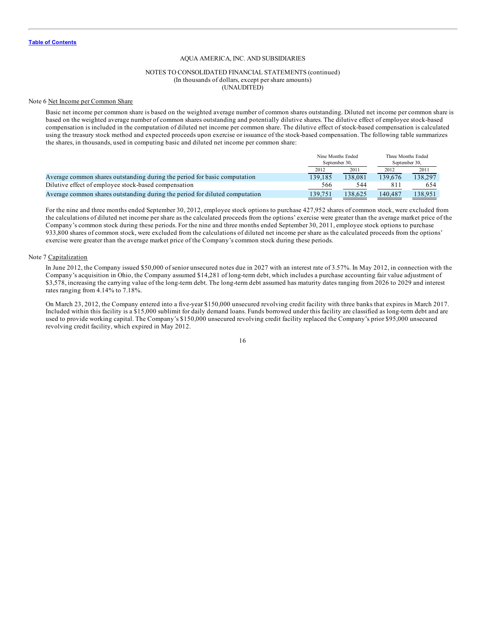#### NOTES TO CONSOLIDATED FINANCIAL STATEMENTS (continued) (In thousands of dollars, except per share amounts) (UNAUDITED)

#### Note 6 Net Income per Common Share

Basic net income per common share is based on the weighted average number of common shares outstanding. Diluted net income per common share is based on the weighted average number of common shares outstanding and potentially dilutive shares. The dilutive effect of employee stock-based compensation is included in the computation of diluted net income per common share. The dilutive effect of stock-based compensation is calculated using the treasury stock method and expected proceeds upon exercise or issuance of the stock-based compensation. The following table summarizes the shares, in thousands, used in computing basic and diluted net income per common share:

|                                                                             | Nine Months Ended<br>September 30. |         | Three Months Ended<br>September 30. |         |
|-----------------------------------------------------------------------------|------------------------------------|---------|-------------------------------------|---------|
|                                                                             | 2012                               | 2011    | 2012                                | 2011    |
| Average common shares outstanding during the period for basic computation   | 139.185                            | 138.081 | 139.676                             | 138.297 |
| Dilutive effect of employee stock-based compensation                        | 566                                | 544     | 81                                  | 654     |
| Average common shares outstanding during the period for diluted computation | 139.751                            | 138.625 | 140.487                             | 138.951 |

For the nine and three months ended September 30, 2012, employee stock options to purchase 427,952 shares of common stock, were excluded from the calculations of diluted net income per share as the calculated proceeds from the options' exercise were greater than the average market price of the Company's common stock during these periods. For the nine and three months ended September 30, 2011, employee stock options to purchase 933,800 shares of common stock, were excluded from the calculations of diluted net income per share as the calculated proceeds from the options' exercise were greater than the average market price of the Company's common stock during these periods.

#### Note 7 Capitalization

In June 2012, the Company issued \$50,000 of senior unsecured notes due in 2027 with an interest rate of 3.57%. In May 2012, in connection with the Company's acquisition in Ohio, the Company assumed \$14,281 of long-term debt, which includes a purchase accounting fair value adjustment of \$3,578, increasing the carrying value of the long-term debt. The long-term debt assumed has maturity dates ranging from 2026 to 2029 and interest rates ranging from 4.14% to 7.18%.

On March 23, 2012, the Company entered into a five-year \$150,000 unsecured revolving credit facility with three banks that expires in March 2017. Included within this facility is a \$15,000 sublimit for daily demand loans. Funds borrowed under this facility are classified as long-term debt and are used to provide working capital. The Company's \$150,000 unsecured revolving credit facility replaced the Company's prior \$95,000 unsecured revolving credit facility, which expired in May 2012.

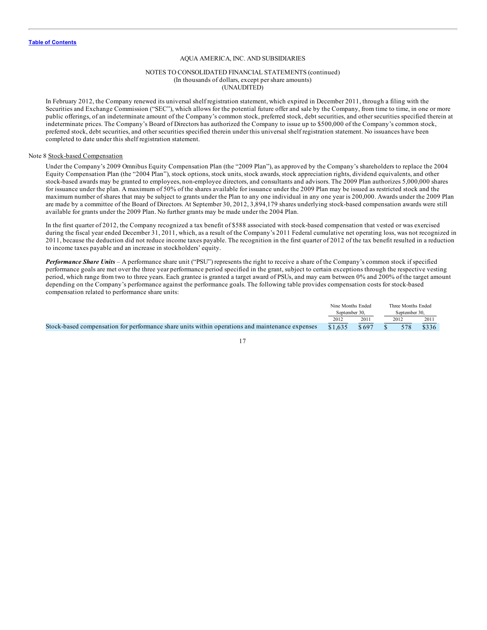## NOTES TO CONSOLIDATED FINANCIAL STATEMENTS (continued) (In thousands of dollars, except per share amounts) (UNAUDITED)

In February 2012, the Company renewed its universal shelf registration statement, which expired in December 2011, through a filing with the Securities and Exchange Commission ("SEC"), which allows for the potential future offer and sale by the Company, from time to time, in one or more public offerings, of an indeterminate amount of the Company's common stock, preferred stock, debt securities, and other securities specified therein at indeterminate prices. The Company's Board of Directors has authorized the Company to issue up to \$500,000 of the Company's common stock, preferred stock, debt securities, and other securities specified therein under this universal shelf registration statement. No issuances have been completed to date under this shelf registration statement.

#### Note 8 Stock-based Compensation

Under the Company's 2009 Omnibus Equity Compensation Plan (the "2009 Plan"), as approved by the Company's shareholders to replace the 2004 Equity Compensation Plan (the "2004 Plan"), stock options, stock units, stock awards, stock appreciation rights, dividend equivalents, and other stock-based awards may be granted to employees, non-employee directors, and consultants and advisors. The 2009 Plan authorizes 5,000,000 shares for issuance under the plan. A maximum of 50% of the shares available for issuance under the 2009 Plan may be issued as restricted stock and the maximum number of shares that may be subject to grants under the Plan to any one individual in any one year is 200,000. Awards under the 2009 Plan are made by a committee of the Board of Directors. At September 30, 2012, 3,894,179 shares underlying stock-based compensation awards were still available for grants under the 2009 Plan. No further grants may be made under the 2004 Plan.

In the first quarter of 2012, the Company recognized a tax benefit of \$588 associated with stock-based compensation that vested or was exercised during the fiscal year ended December 31, 2011, which, as a result of the Company's 2011 Federal cumulative net operating loss, was not recognized in 2011, because the deduction did not reduce income taxes payable. The recognition in the first quarter of 2012 of the tax benefit resulted in a reduction to income taxes payable and an increase in stockholders' equity.

*Performance Share Units* – A performance share unit ("PSU") represents the right to receive a share of the Company's common stock if specified performance goals are met over the three year performance period specified in the grant, subject to certain exceptions through the respective vesting period, which range from two to three years. Each grantee is granted a target award of PSUs, and may earn between 0% and 200% of the target amount depending on the Company's performance against the performance goals. The following table provides compensation costs for stock-based compensation related to performance share units:

|                                                                                                 | Nine Months Ended<br>September 30. |       | Three Months Ended<br>September 30. |      |       |
|-------------------------------------------------------------------------------------------------|------------------------------------|-------|-------------------------------------|------|-------|
|                                                                                                 | 2012                               | 2011  |                                     | 2012 | 2011  |
| Stock-based compensation for performance share units within operations and maintenance expenses | \$1.635                            | \$697 |                                     | 578  | \$336 |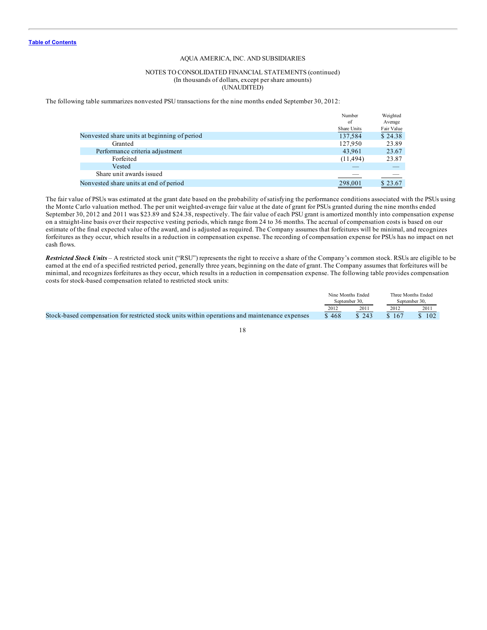### NOTES TO CONSOLIDATED FINANCIAL STATEMENTS (continued) (In thousands of dollars, except per share amounts) (UNAUDITED)

The following table summarizes nonvested PSU transactions for the nine months ended September 30, 2012:

|                                              | Number      | Weighted   |
|----------------------------------------------|-------------|------------|
|                                              | of          | Average    |
|                                              | Share Units | Fair Value |
| Nonvested share units at beginning of period | 137,584     | \$24.38    |
| Granted                                      | 127,950     | 23.89      |
| Performance criteria adjustment              | 43,961      | 23.67      |
| Forfeited                                    | (11, 494)   | 23.87      |
| Vested                                       |             |            |
| Share unit awards issued                     |             |            |
| Nonvested share units at end of period       | 298,001     | \$23.67    |
|                                              |             |            |

The fair value of PSUs was estimated at the grant date based on the probability of satisfying the performance conditions associated with the PSUs using the Monte Carlo valuation method. The per unit weighted-average fair value at the date of grant for PSUs granted during the nine months ended September 30, 2012 and 2011 was \$23.89 and \$24.38, respectively. The fair value of each PSU grant is amortized monthly into compensation expense on a straight-line basis over their respective vesting periods, which range from 24 to 36 months. The accrual of compensation costs is based on our estimate of the final expected value of the award, and is adjusted as required. The Company assumes that forfeitures will be minimal, and recognizes forfeitures as they occur, which results in a reduction in compensation expense. The recording of compensation expense for PSUs has no impact on net cash flows.

*Restricted Stock Units –* A restricted stock unit ("RSU") represents the right to receive a share of the Company's common stock. RSUs are eligible to be earned at the end of a specified restricted period, generally three years, beginning on the date of grant. The Company assumes that forfeitures will be minimal, and recognizes forfeitures as they occur, which results in a reduction in compensation expense. The following table provides compensation costs for stock-based compensation related to restricted stock units:

|                                                                                                | Nine Months Ended |       |               | Three Months Ended |  |
|------------------------------------------------------------------------------------------------|-------------------|-------|---------------|--------------------|--|
|                                                                                                | September 30.     |       | September 30. |                    |  |
|                                                                                                | 2012              | 2011  | 2012          | 201                |  |
| Stock-based compensation for restricted stock units within operations and maintenance expenses | \$468             | \$243 | \$167         | \$102              |  |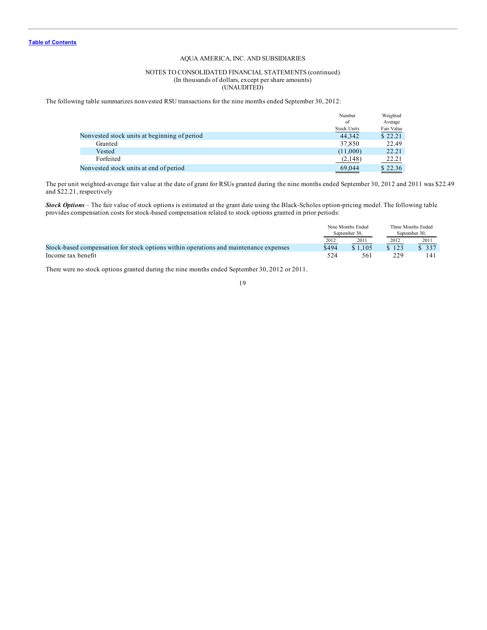# NOTES TO CONSOLIDATED FINANCIAL STATEMENTS (continued) (In thousands of dollars, except per share amounts) (UNAUDITED)

The following table summarizes nonvested RSU transactions for the nine months ended September 30, 2012:

| Nonvested stock units at beginning of period | Number             | Weighted   |
|----------------------------------------------|--------------------|------------|
|                                              | of                 | Average    |
|                                              | <b>Stock Units</b> | Fair Value |
|                                              | 44.342             | \$22.21    |
| Granted                                      | 37,850             | 22.49      |
| Vested                                       | (11,000)           | 22.21      |
| Forfeited                                    | (2,148)            | 22.21      |
| Nonvested stock units at end of period       | 69,044             | \$22.36    |

The per unit weighted-average fair value at the date of grant for RSUs granted during the nine months ended September 30, 2012 and 2011 was \$22.49 and \$22.21, respectively

*Stock Options* – The fair value of stock options is estimated at the grant date using the Black-Scholes option-pricing model. The following table provides compensation costs for stock-based compensation related to stock options granted in prior periods:

|                                                                                       | Nine Months Ended |         | Three Months Ended |       |
|---------------------------------------------------------------------------------------|-------------------|---------|--------------------|-------|
|                                                                                       | September 30.     |         | September 30.      |       |
|                                                                                       | 2012              | 2011    | 2012               | 2011  |
| Stock-based compensation for stock options within operations and maintenance expenses | \$494             | \$1.105 | \$123              | \$337 |
| Income tax benefit                                                                    | 524               | 561     | 229                | 141   |

There were no stock options granted during the nine months ended September 30, 2012 or 2011.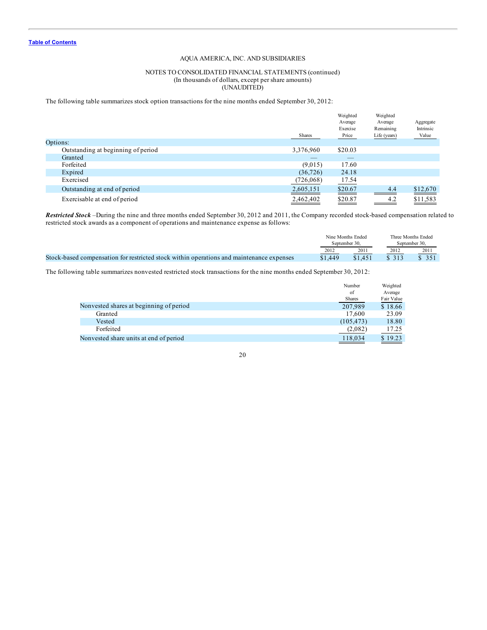# NOTES TO CONSOLIDATED FINANCIAL STATEMENTS (continued) (In thousands of dollars, except per share amounts) (UNAUDITED)

The following table summarizes stock option transactions for the nine months ended September 30, 2012:

|                                    | <b>Shares</b> | Weighted<br>Average<br>Exercise<br>Price | Weighted<br>Average<br>Remaining<br>Life (years) | Aggregate<br>Intrinsic<br>Value |
|------------------------------------|---------------|------------------------------------------|--------------------------------------------------|---------------------------------|
| Options:                           |               |                                          |                                                  |                                 |
| Outstanding at beginning of period | 3,376,960     | \$20.03                                  |                                                  |                                 |
| Granted                            |               |                                          |                                                  |                                 |
| Forfeited                          | (9,015)       | 17.60                                    |                                                  |                                 |
| Expired                            | (36, 726)     | 24.18                                    |                                                  |                                 |
| Exercised                          | (726,068)     | 17.54                                    |                                                  |                                 |
| Outstanding at end of period       | 2,605,151     | \$20.67                                  | 4.4                                              | \$12,670                        |
| Exercisable at end of period       | 2,462,402     | \$20.87                                  | 4.2                                              | \$11,583                        |

*Restricted Stock* –During the nine and three months ended September 30, 2012 and 2011, the Company recorded stock-based compensation related to restricted stock awards as a component of operations and maintenance expense as follows:

|                                                                                          | Nine Months Ended |         |               | Three Months Ended |  |
|------------------------------------------------------------------------------------------|-------------------|---------|---------------|--------------------|--|
|                                                                                          | September 30.     |         | September 30. |                    |  |
|                                                                                          | 2012              | 2011    | 2012          | 2011               |  |
| Stock-based compensation for restricted stock within operations and maintenance expenses | \$1,449           | \$1.451 | \$313         |                    |  |

The following table summarizes nonvested restricted stock transactions for the nine months ended September 30, 2012:

|                                         | Number        | Weighted   |
|-----------------------------------------|---------------|------------|
|                                         | of            | Average    |
|                                         | <b>Shares</b> | Fair Value |
| Nonvested shares at beginning of period | 207,989       | \$18.66    |
| Granted                                 | 17.600        | 23.09      |
| Vested                                  | (105, 473)    | 18.80      |
| Forfeited                               | (2,082)       | 17.25      |
| Nonvested share units at end of period  | 118,034       | \$19.23    |
|                                         |               |            |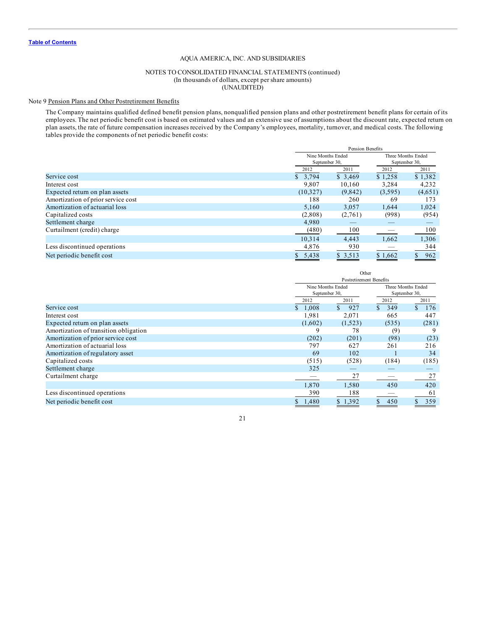# NOTES TO CONSOLIDATED FINANCIAL STATEMENTS (continued) (In thousands of dollars, except per share amounts) (UNAUDITED)

# Note 9 Pension Plans and Other Postretirement Benefits

The Company maintains qualified defined benefit pension plans, nonqualified pension plans and other postretirement benefit plans for certain of its employees. The net periodic benefit cost is based on estimated values and an extensive use of assumptions about the discount rate, expected return on plan assets, the rate of future compensation increases received by the Company's employees, mortality, turnover, and medical costs. The following tables provide the components of net periodic benefit costs:

|                                    |               | Pension Benefits  |               |                    |  |
|------------------------------------|---------------|-------------------|---------------|--------------------|--|
|                                    |               | Nine Months Ended |               | Three Months Ended |  |
|                                    | September 30, |                   | September 30, |                    |  |
|                                    | 2012          | 2011              | 2012          | 2011               |  |
| Service cost                       | \$3.794       | \$3,469           | \$1,258       | \$1,382            |  |
| Interest cost                      | 9,807         | 10,160            | 3,284         | 4,232              |  |
| Expected return on plan assets     | (10,327)      | (9,842)           | (3,595)       | (4,651)            |  |
| Amortization of prior service cost | 188           | 260               | 69            | 173                |  |
| Amortization of actuarial loss     | 5.160         | 3,057             | 1,644         | 1,024              |  |
| Capitalized costs                  | (2,808)       | (2,761)           | (998)         | (954)              |  |
| Settlement charge                  | 4.980         |                   |               |                    |  |
| Curtailment (credit) charge        | (480)         | 100               |               | 100                |  |
|                                    | 10.314        | 4,443             | 1,662         | 1,306              |  |
| Less discontinued operations       | 4,876         | 930               |               | 344                |  |
| Net periodic benefit cost          | 5.438         | \$3,513           | \$1,662       | 962<br>\$          |  |

|                                       | Other                                   |           |            |           |  |  |
|---------------------------------------|-----------------------------------------|-----------|------------|-----------|--|--|
|                                       | Postretirement Benefits                 |           |            |           |  |  |
|                                       | Nine Months Ended<br>Three Months Ended |           |            |           |  |  |
|                                       | September 30,<br>September 30,          |           |            |           |  |  |
|                                       | 2012                                    | 2011      | 2012       | 2011      |  |  |
| Service cost                          | 1,008<br>S                              | \$<br>927 | 349<br>\$. | \$<br>176 |  |  |
| Interest cost                         | 1,981                                   | 2,071     | 665        | 447       |  |  |
| Expected return on plan assets        | (1,602)                                 | (1,523)   | (535)      | (281)     |  |  |
| Amortization of transition obligation | q                                       | 78        | (9)        |           |  |  |
| Amortization of prior service cost    | (202)                                   | (201)     | (98)       | (23)      |  |  |
| Amortization of actuarial loss        | 797                                     | 627       | 261        | 216       |  |  |
| Amortization of regulatory asset      | 69                                      | 102       |            | 34        |  |  |
| Capitalized costs                     | (515)                                   | (528)     | (184)      | (185)     |  |  |
| Settlement charge                     | 325                                     |           |            |           |  |  |
| Curtailment charge                    |                                         | 27        |            | 27        |  |  |
|                                       | 1,870                                   | 1,580     | 450        | 420       |  |  |
| Less discontinued operations          | 390                                     | 188       |            | 61        |  |  |
| Net periodic benefit cost             | 1,480                                   | \$1,392   | 450        | 359       |  |  |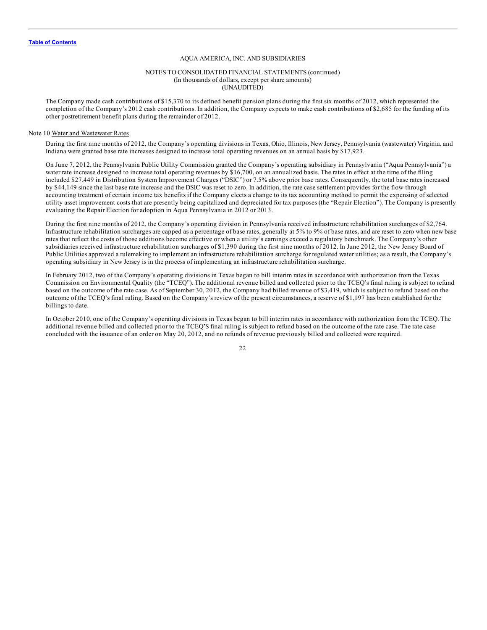#### NOTES TO CONSOLIDATED FINANCIAL STATEMENTS (continued) (In thousands of dollars, except per share amounts) (UNAUDITED)

The Company made cash contributions of \$15,370 to its defined benefit pension plans during the first six months of 2012, which represented the completion of the Company's 2012 cash contributions. In addition, the Company expects to make cash contributions of \$2,685 for the funding of its other postretirement benefit plans during the remainder of 2012.

#### Note 10 Water and Wastewater Rates

During the first nine months of 2012, the Company's operating divisions in Texas, Ohio, Illinois, New Jersey, Pennsylvania (wastewater) Virginia, and Indiana were granted base rate increases designed to increase total operating revenues on an annual basis by \$17,923.

On June 7, 2012, the Pennsylvania Public Utility Commission granted the Company's operating subsidiary in Pennsylvania ("Aqua Pennsylvania") a water rate increase designed to increase total operating revenues by \$16,700, on an annualized basis. The rates in effect at the time of the filing included \$27,449 in Distribution System Improvement Charges ("DSIC") or 7.5% above prior base rates. Consequently, the total base rates increased by \$44,149 since the last base rate increase and the DSIC was reset to zero. In addition, the rate case settlement provides for the flow-through accounting treatment of certain income tax benefits if the Company elects a change to its tax accounting method to permit the expensing of selected utility asset improvement costs that are presently being capitalized and depreciated for tax purposes (the "Repair Election"). The Company is presently evaluating the Repair Election for adoption in Aqua Pennsylvania in 2012 or 2013.

During the first nine months of 2012, the Company's operating division in Pennsylvania received infrastructure rehabilitation surcharges of \$2,764. Infrastructure rehabilitation surcharges are capped as a percentage of base rates, generally at 5% to 9% of base rates, and are reset to zero when new base rates that reflect the costs of those additions become effective or when a utility's earnings exceed a regulatory benchmark. The Company's other subsidiaries received infrastructure rehabilitation surcharges of \$1,390 during the first nine months of 2012. In June 2012, the New Jersey Board of Public Utilities approved a rulemaking to implement an infrastructure rehabilitation surcharge for regulated water utilities; as a result, the Company's operating subsidiary in New Jersey is in the process of implementing an infrastructure rehabilitation surcharge.

In February 2012, two of the Company's operating divisions in Texas began to bill interim rates in accordance with authorization from the Texas Commission on Environmental Quality (the "TCEQ"). The additional revenue billed and collected prior to the TCEQ's final ruling is subject to refund based on the outcome of the rate case. As of September 30, 2012, the Company had billed revenue of \$3,419, which is subject to refund based on the outcome of the TCEQ's final ruling. Based on the Company's review of the present circumstances, a reserve of \$1,197 has been established for the billings to date.

In October 2010, one of the Company's operating divisions in Texas began to bill interim rates in accordance with authorization from the TCEQ. The additional revenue billed and collected prior to the TCEQ'S final ruling is subject to refund based on the outcome of the rate case. The rate case concluded with the issuance of an order on May 20, 2012, and no refunds of revenue previously billed and collected were required.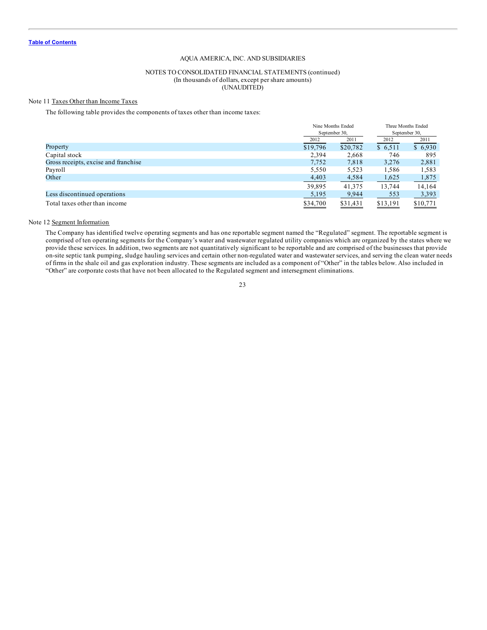#### NOTES TO CONSOLIDATED FINANCIAL STATEMENTS (continued) (In thousands of dollars, except per share amounts) (UNAUDITED)

# Note 11 Taxes Other than Income Taxes

The following table provides the components of taxes other than income taxes:

|                                      |              | Nine Months Ended | Three Months Ended |          |  |
|--------------------------------------|--------------|-------------------|--------------------|----------|--|
|                                      |              | September 30,     | September 30,      |          |  |
|                                      | 2012<br>2011 |                   | 2012               | 2011     |  |
| Property                             | \$19,796     | \$20,782          | \$6,511            | \$6,930  |  |
| Capital stock                        | 2,394        | 2,668             | 746                | 895      |  |
| Gross receipts, excise and franchise | 7,752        | 7,818             | 3,276              | 2,881    |  |
| Payroll                              | 5,550        | 5,523             | 1,586              | 1,583    |  |
| Other                                | 4,403        | 4,584             | 1,625              | 1,875    |  |
|                                      | 39,895       | 41.375            | 13,744             | 14,164   |  |
| Less discontinued operations         | 5,195        | 9,944             | 553                | 3,393    |  |
| Total taxes other than income        | \$34,700     | \$31,431          | \$13,191           | \$10,771 |  |

#### Note 12 Segment Information

The Company has identified twelve operating segments and has one reportable segment named the "Regulated" segment. The reportable segment is comprised of ten operating segments for the Company's water and wastewater regulated utility companies which are organized by the states where we provide these services. In addition, two segments are not quantitatively significant to be reportable and are comprised of the businesses that provide on-site septic tank pumping, sludge hauling services and certain other non-regulated water and wastewater services, and serving the clean water needs of firms in the shale oil and gas exploration industry. These segments are included as a component of "Other" in the tables below. Also included in "Other" are corporate costs that have not been allocated to the Regulated segment and intersegment eliminations.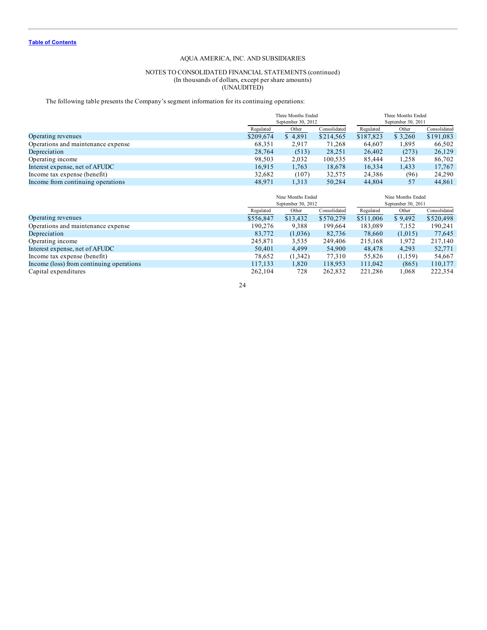#### NOTES TO CONSOLIDATED FINANCIAL STATEMENTS (continued) (In thousands of dollars, except per share amounts) (UNAUDITED)

The following table presents the Company's segment information for its continuing operations:

|                                    |           | Three Months Ended |              |           | Three Months Ended |              |  |  |
|------------------------------------|-----------|--------------------|--------------|-----------|--------------------|--------------|--|--|
|                                    |           | September 30, 2012 |              |           | September 30, 2011 |              |  |  |
|                                    | Regulated | Other              | Consolidated | Regulated | Other              | Consolidated |  |  |
| Operating revenues                 | \$209,674 | \$4,891            | \$214,565    | \$187,823 | \$ 3,260           | \$191,083    |  |  |
| Operations and maintenance expense | 68,351    | 2.917              | 71,268       | 64,607    | 1,895              | 66,502       |  |  |
| Depreciation                       | 28,764    | (513)              | 28,251       | 26,402    | (273)              | 26,129       |  |  |
| Operating income                   | 98,503    | 2,032              | 100,535      | 85.444    | 1,258              | 86,702       |  |  |
| Interest expense, net of AFUDC     | 16.915    | 1,763              | 18,678       | 16.334    | 1,433              | 17,767       |  |  |
| Income tax expense (benefit)       | 32,682    | (107)              | 32,575       | 24,386    | (96)               | 24.290       |  |  |
| Income from continuing operations  | 48.971    | .313               | 50.284       | 44,804    | 57                 | 44.861       |  |  |

|                                          |           | Nine Months Ended<br>September 30, 2012 |              |           | Nine Months Ended<br>September 30, 2011 |              |  |  |
|------------------------------------------|-----------|-----------------------------------------|--------------|-----------|-----------------------------------------|--------------|--|--|
|                                          | Regulated | Other                                   | Consolidated | Regulated | Other                                   | Consolidated |  |  |
| Operating revenues                       | \$556,847 | \$13,432                                | \$570,279    | \$511,006 | \$9,492                                 | \$520,498    |  |  |
| Operations and maintenance expense       | 190.276   | 9,388                                   | 199,664      | 183,089   | 7,152                                   | 190,241      |  |  |
| Depreciation                             | 83,772    | (1,036)                                 | 82,736       | 78,660    | (1.015)                                 | 77,645       |  |  |
| Operating income                         | 245.871   | 3,535                                   | 249,406      | 215,168   | 1,972                                   | 217,140      |  |  |
| Interest expense, net of AFUDC           | 50,401    | 4,499                                   | 54,900       | 48,478    | 4.293                                   | 52,771       |  |  |
| Income tax expense (benefit)             | 78,652    | (1,342)                                 | 77,310       | 55.826    | (1,159)                                 | 54,667       |  |  |
| Income (loss) from continuing operations | 117,133   | 1,820                                   | 118,953      | 111,042   | (865)                                   | 110,177      |  |  |
| Capital expenditures                     | 262.104   | 728                                     | 262,832      | 221.286   | 1.068                                   | 222,354      |  |  |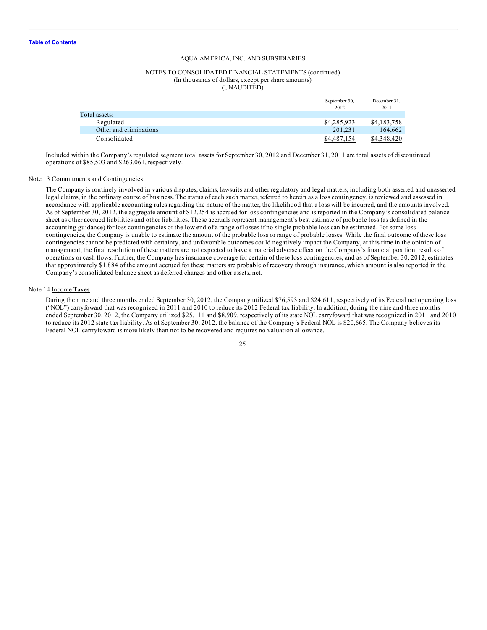#### NOTES TO CONSOLIDATED FINANCIAL STATEMENTS (continued) (In thousands of dollars, except per share amounts) (UNAUDITED)

|                        | September 30,<br>2012 | December 31,<br>2011 |
|------------------------|-----------------------|----------------------|
| Total assets:          |                       |                      |
| Regulated              | \$4,285,923           | \$4,183,758          |
| Other and eliminations | 201.231               | 164.662              |
| Consolidated           | \$4,487,154           | \$4,348,420          |

Included within the Company's regulated segment total assets for September 30, 2012 and December 31, 2011 are total assets of discontinued operations of \$85,503 and \$263,061, respectively.

#### Note 13 Commitments and Contingencies

The Company is routinely involved in various disputes, claims, lawsuits and other regulatory and legal matters, including both asserted and unasserted legal claims, in the ordinary course of business. The status of each such matter, referred to herein as a loss contingency, is reviewed and assessed in accordance with applicable accounting rules regarding the nature of the matter, the likelihood that a loss will be incurred, and the amounts involved. As of September 30, 2012, the aggregate amount of \$12,254 is accrued for loss contingencies and is reported in the Company's consolidated balance sheet as other accrued liabilities and other liabilities. These accruals represent management's best estimate of probable loss (as defined in the accounting guidance) for loss contingencies or the low end of a range of losses if no single probable loss can be estimated. For some loss contingencies, the Company is unable to estimate the amount of the probable loss or range of probable losses. While the final outcome of these loss contingencies cannot be predicted with certainty, and unfavorable outcomes could negatively impact the Company, at this time in the opinion of management, the final resolution of these matters are not expected to have a material adverse effect on the Company's financial position, results of operations or cash flows. Further, the Company has insurance coverage for certain of these loss contingencies, and as of September 30, 2012, estimates that approximately \$1,884 of the amount accrued for these matters are probable of recovery through insurance, which amount is also reported in the Company's consolidated balance sheet as deferred charges and other assets, net.

#### Note 14 Income Taxes

During the nine and three months ended September 30, 2012, the Company utilized \$76,593 and \$24,611, respectively of its Federal net operating loss ("NOL") carryfoward that was recognized in 2011 and 2010 to reduce its 2012 Federal tax liability. In addition, during the nine and three months ended September 30, 2012, the Company utilized \$25,111 and \$8,909, respectively of its state NOL carryfoward that was recognized in 2011 and 2010 to reduce its 2012 state tax liability. As of September 30, 2012, the balance of the Company's Federal NOL is \$20,665. The Company believes its Federal NOL carrryfoward is more likely than not to be recovered and requires no valuation allowance.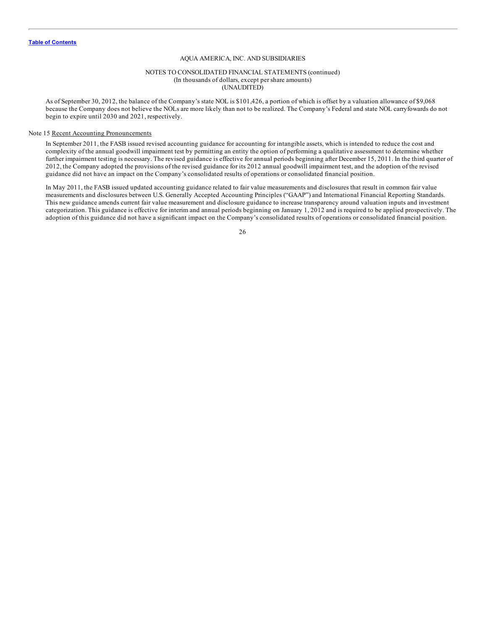#### NOTES TO CONSOLIDATED FINANCIAL STATEMENTS (continued) (In thousands of dollars, except per share amounts) (UNAUDITED)

As of September 30, 2012, the balance of the Company's state NOL is \$101,426, a portion of which is offset by a valuation allowance of \$9,068 because the Company does not believe the NOLs are more likely than not to be realized. The Company's Federal and state NOL carryfowards do not begin to expire until 2030 and 2021, respectively.

#### Note 15 Recent Accounting Pronouncements

In September 2011, the FASB issued revised accounting guidance for accounting for intangible assets, which is intended to reduce the cost and complexity of the annual goodwill impairment test by permitting an entity the option of performing a qualitative assessment to determine whether further impairment testing is necessary. The revised guidance is effective for annual periods beginning after December 15, 2011. In the third quarter of 2012, the Company adopted the provisions of the revised guidance for its 2012 annual goodwill impairment test, and the adoption of the revised guidance did not have an impact on the Company's consolidated results of operations or consolidated financial position.

In May 2011, the FASB issued updated accounting guidance related to fair value measurements and disclosures that result in common fair value measurements and disclosures between U.S. Generally Accepted Accounting Principles ("GAAP") and International Financial Reporting Standards. This new guidance amends current fair value measurement and disclosure guidance to increase transparency around valuation inputs and investment categorization. This guidance is effective for interim and annual periods beginning on January 1, 2012 and is required to be applied prospectively. The adoption of this guidance did not have a significant impact on the Company's consolidated results of operations or consolidated financial position.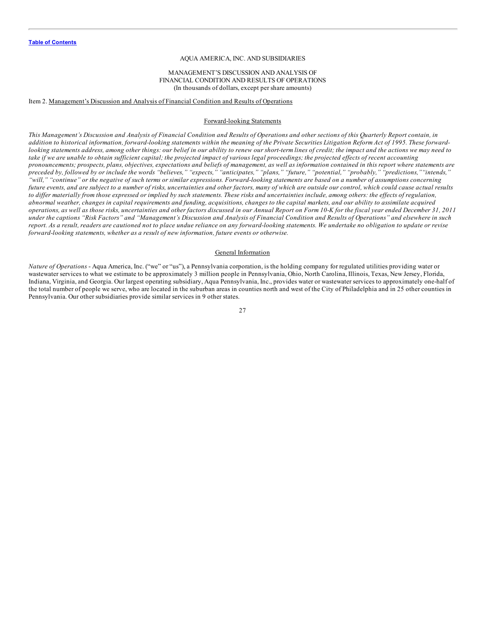#### MANAGEMENT'S DISCUSSION AND ANALYSIS OF FINANCIAL CONDITION AND RESULTS OF OPERATIONS (In thousands of dollars, except per share amounts)

#### <span id="page-27-0"></span>Item 2. Management's Discussion and Analysis of Financial Condition and Results of Operations

# Forward-looking Statements

This Management's Discussion and Analysis of Financial Condition and Results of Operations and other sections of this Quarterly Report contain, in addition to historical information, forward-looking statements within the meaning of the Private Securities Litigation Reform Act of 1995. These forwardlooking statements address, among other things: our belief in our ability to renew our short-term lines of credit; the impact and the actions we may need to take if we are unable to obtain sufficient capital; the projected impact of various legal proceedings; the projected effects of recent accounting pronouncements; prospects, plans, objectives, expectations and beliefs of management, as well as information contained in this report where statements are preceded by, followed by or include the words "believes," "expects," "anticipates," "plans," "future," "potential," "probably," "predictions," "intends," "will," "continue" or the negative of such terms or similar expressions. Forward-looking statements are based on a number of assumptions concerning future events, and are subject to a number of risks, uncertainties and other factors, many of which are outside our control, which could cause actual results to differ materially from those expressed or implied by such statements. These risks and uncertainties include, among others: the effects of regulation, abnormal weather, changes in capital requirements and funding, acquisitions, changes to the capital markets, and our ability to assimilate acquired operations, as well as those risks, uncertainties and other factors discussed in our Annual Report on Form 10-K for the fiscal year ended December 31, 2011 under the captions "Risk Factors" and "Management's Discussion and Analysis of Financial Condition and Results of Operations" and elsewhere in such report. As a result, readers are cautioned not to place undue reliance on any forward-looking statements. We undertake no obligation to update or revise *forward-looking statements, whether as a result of new information, future events or otherwise.*

#### General Information

*Nature of Operations* - Aqua America, Inc. ("we" or "us"), a Pennsylvania corporation, is the holding company for regulated utilities providing water or wastewater services to what we estimate to be approximately 3 million people in Pennsylvania, Ohio, North Carolina, Illinois, Texas, New Jersey, Florida, Indiana, Virginia, and Georgia. Our largest operating subsidiary, Aqua Pennsylvania, Inc., provides water or wastewater services to approximately one-half of the total number of people we serve, who are located in the suburban areas in counties north and west of the City of Philadelphia and in 25 other counties in Pennsylvania. Our other subsidiaries provide similar services in 9 other states.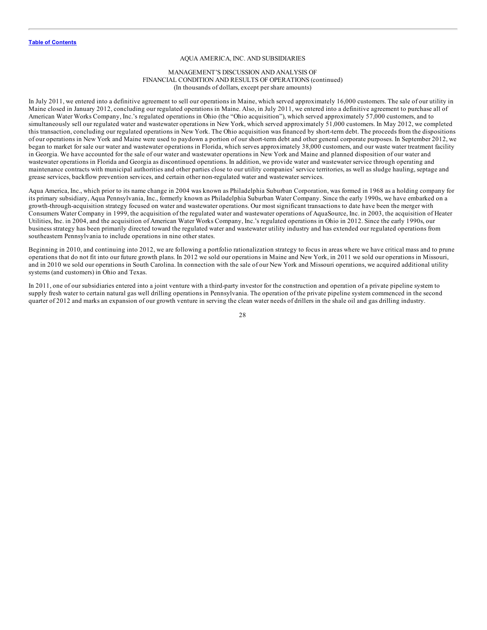#### MANAGEMENT'S DISCUSSION AND ANALYSIS OF FINANCIAL CONDITION AND RESULTS OF OPERATIONS (continued) (In thousands of dollars, except per share amounts)

In July 2011, we entered into a definitive agreement to sell our operations in Maine, which served approximately 16,000 customers. The sale of our utility in Maine closed in January 2012, concluding our regulated operations in Maine. Also, in July 2011, we entered into a definitive agreement to purchase all of American Water Works Company, Inc.'s regulated operations in Ohio (the "Ohio acquisition"), which served approximately 57,000 customers, and to simultaneously sell our regulated water and wastewater operations in New York, which served approximately 51,000 customers. In May 2012, we completed this transaction, concluding our regulated operations in New York. The Ohio acquisition was financed by short-term debt. The proceeds from the dispositions of our operations in New York and Maine were used to paydown a portion of our short-term debt and other general corporate purposes. In September 2012, we began to market for sale our water and wastewater operations in Florida, which serves approximately 38,000 customers, and our waste water treatment facility in Georgia. We have accounted for the sale of our water and wastewater operations in New York and Maine and planned disposition of our water and wastewater operations in Florida and Georgia as discontinued operations. In addition, we provide water and wastewater service through operating and maintenance contracts with municipal authorities and other parties close to our utility companies' service territories, as well as sludge hauling, septage and grease services, backflow prevention services, and certain other non-regulated water and wastewater services.

Aqua America, Inc., which prior to its name change in 2004 was known as Philadelphia Suburban Corporation, was formed in 1968 as a holding company for its primary subsidiary, Aqua Pennsylvania, Inc., formerly known as Philadelphia Suburban Water Company. Since the early 1990s, we have embarked on a growth-through-acquisition strategy focused on water and wastewater operations. Our most significant transactions to date have been the merger with Consumers Water Company in 1999, the acquisition of the regulated water and wastewater operations of AquaSource, Inc. in 2003, the acquisition of Heater Utilities, Inc. in 2004, and the acquisition of American Water Works Company, Inc.'s regulated operations in Ohio in 2012. Since the early 1990s, our business strategy has been primarily directed toward the regulated water and wastewater utility industry and has extended our regulated operations from southeastern Pennsylvania to include operations in nine other states.

Beginning in 2010, and continuing into 2012, we are following a portfolio rationalization strategy to focus in areas where we have critical mass and to prune operations that do not fit into our future growth plans. In 2012 we sold our operations in Maine and New York, in 2011 we sold our operations in Missouri, and in 2010 we sold our operations in South Carolina. In connection with the sale of our New York and Missouri operations, we acquired additional utility systems (and customers) in Ohio and Texas.

In 2011, one of our subsidiaries entered into a joint venture with a third-party investor for the construction and operation of a private pipeline system to supply fresh water to certain natural gas well drilling operations in Pennsylvania. The operation of the private pipeline system commenced in the second quarter of 2012 and marks an expansion of our growth venture in serving the clean water needs of drillers in the shale oil and gas drilling industry.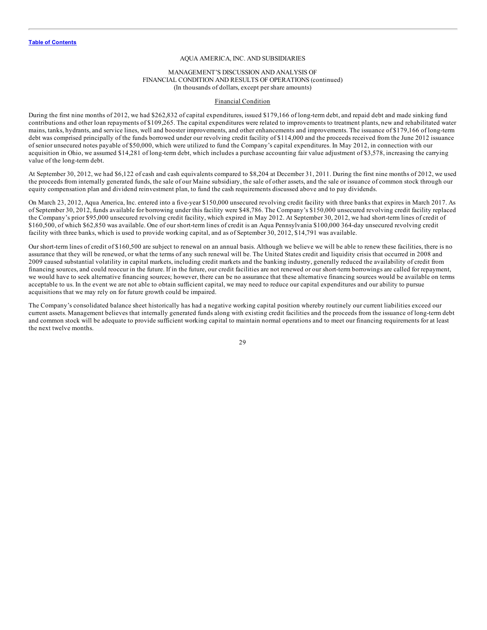#### MANAGEMENT'S DISCUSSION AND ANALYSIS OF FINANCIAL CONDITION AND RESULTS OF OPERATIONS (continued) (In thousands of dollars, except per share amounts)

#### Financial Condition

During the first nine months of 2012, we had \$262,832 of capital expenditures, issued \$179,166 of long-term debt, and repaid debt and made sinking fund contributions and other loan repayments of \$109,265. The capital expenditures were related to improvements to treatment plants, new and rehabilitated water mains, tanks, hydrants, and service lines, well and booster improvements, and other enhancements and improvements. The issuance of \$179,166 of long-term debt was comprised principally of the funds borrowed under our revolving credit facility of \$114,000 and the proceeds received from the June 2012 issuance of senior unsecured notes payable of \$50,000, which were utilized to fund the Company's capital expenditures. In May 2012, in connection with our acquisition in Ohio, we assumed \$14,281 of long-term debt, which includes a purchase accounting fair value adjustment of \$3,578, increasing the carrying value of the long-term debt.

At September 30, 2012, we had \$6,122 of cash and cash equivalents compared to \$8,204 at December 31, 2011. During the first nine months of 2012, we used the proceeds from internally generated funds, the sale of our Maine subsidiary, the sale of other assets, and the sale or issuance of common stock through our equity compensation plan and dividend reinvestment plan, to fund the cash requirements discussed above and to pay dividends.

On March 23, 2012, Aqua America, Inc. entered into a five-year \$150,000 unsecured revolving credit facility with three banks that expires in March 2017. As of September 30, 2012, funds available for borrowing under this facility were \$48,786. The Company's \$150,000 unsecured revolving credit facility replaced the Company's prior \$95,000 unsecured revolving credit facility, which expired in May 2012. At September 30, 2012, we had short-term lines of credit of \$160,500, of which \$62,850 was available. One of our short-term lines of credit is an Aqua Pennsylvania \$100,000 364-day unsecured revolving credit facility with three banks, which is used to provide working capital, and as of September 30, 2012, \$14,791 was available.

Our short-term lines of credit of \$160,500 are subject to renewal on an annual basis. Although we believe we will be able to renew these facilities, there is no assurance that they will be renewed, or what the terms of any such renewal will be. The United States credit and liquidity crisis that occurred in 2008 and 2009 caused substantial volatility in capital markets, including credit markets and the banking industry, generally reduced the availability of credit from financing sources, and could reoccur in the future. If in the future, our credit facilities are not renewed or our short-term borrowings are called for repayment, we would have to seek alternative financing sources; however, there can be no assurance that these alternative financing sources would be available on terms acceptable to us. In the event we are not able to obtain sufficient capital, we may need to reduce our capital expenditures and our ability to pursue acquisitions that we may rely on for future growth could be impaired.

The Company's consolidated balance sheet historically has had a negative working capital position whereby routinely our current liabilities exceed our current assets. Management believes that internally generated funds along with existing credit facilities and the proceeds from the issuance of long-term debt and common stock will be adequate to provide sufficient working capital to maintain normal operations and to meet our financing requirements for at least the next twelve months.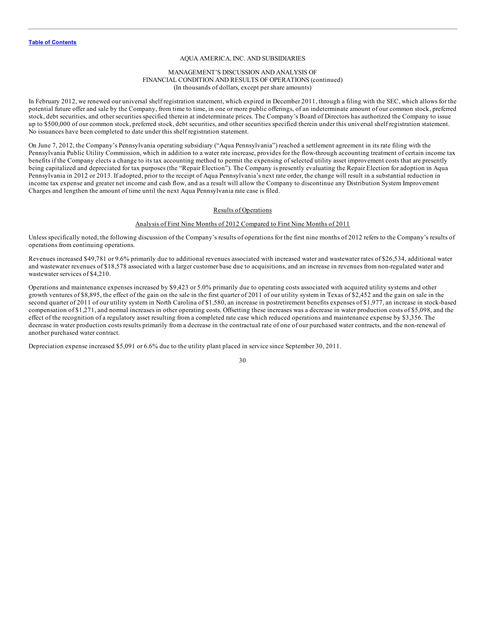#### MANAGEMENT'S DISCUSSION AND ANALYSIS OF FINANCIAL CONDITION AND RESULTS OF OPERATIONS (continued) (In thousands of dollars, except per share amounts)

In February 2012, we renewed our universal shelf registration statement, which expired in December 2011, through a filing with the SEC, which allows for the potential future offer and sale by the Company, from time to time, in one or more public offerings, of an indeterminate amount of our common stock, preferred stock, debt securities, and other securities specified therein at indeterminate prices. The Company's Board of Directors has authorized the Company to issue up to \$500,000 of our common stock, preferred stock, debt securities, and other securities specified therein under this universal shelf registration statement. No issuances have been completed to date under this shelf registration statement.

On June 7, 2012, the Company's Pennsylvania operating subsidiary ("Aqua Pennsylvania") reached a settlement agreement in its rate filing with the Pennsylvania Public Utility Commission, which in addition to a water rate increase, provides for the flow-through accounting treatment of certain income tax benefits if the Company elects a change to its tax accounting method to permit the expensing of selected utility asset improvement costs that are presently being capitalized and depreciated for tax purposes (the "Repair Election"). The Company is presently evaluating the Repair Election for adoption in Aqua Pennsylvania in 2012 or 2013. If adopted, prior to the receipt of Aqua Pennsylvania's next rate order, the change will result in a substantial reduction in income tax expense and greater net income and cash flow, and as a result will allow the Company to discontinue any Distribution System Improvement Charges and lengthen the amount of time until the next Aqua Pennsylvania rate case is filed.

# Results of Operations

#### Analysis of First Nine Months of 2012 Compared to First Nine Months of 2011

Unless specifically noted, the following discussion of the Company's results of operations for the first nine months of 2012 refers to the Company's results of operations from continuing operations.

Revenues increased \$49,781 or 9.6% primarily due to additional revenues associated with increased water and wastewater rates of \$26,534, additional water and wastewater revenues of \$18,578 associated with a larger customer base due to acquisitions, and an increase in revenues from non-regulated water and wastewater services of \$4,210.

Operations and maintenance expenses increased by \$9,423 or 5.0% primarily due to operating costs associated with acquired utility systems and other growth ventures of \$8,895, the effect of the gain on the sale in the first quarter of 2011 of our utility system in Texas of \$2,452 and the gain on sale in the second quarter of 2011 of our utility system in North Carolina of \$1,580, an increase in postretirement benefits expenses of \$1,977, an increase in stock-based compensation of \$1,271, and normal increases in other operating costs. Offsetting these increases was a decrease in water production costs of \$5,098, and the effect of the recognition of a regulatory asset resulting from a completed rate case which reduced operations and maintenance expense by \$3,356. The decrease in water production costs results primarily from a decrease in the contractual rate of one of our purchased water contracts, and the non-renewal of another purchased water contract.

Depreciation expense increased \$5,091 or 6.6% due to the utility plant placed in service since September 30, 2011.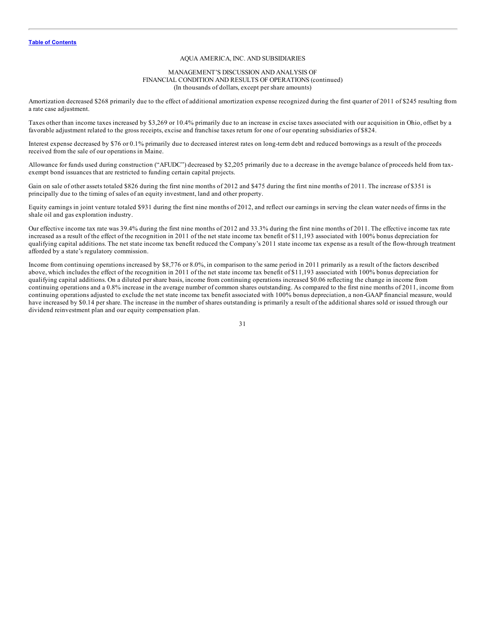#### MANAGEMENT'S DISCUSSION AND ANALYSIS OF FINANCIAL CONDITION AND RESULTS OF OPERATIONS (continued) (In thousands of dollars, except per share amounts)

Amortization decreased \$268 primarily due to the effect of additional amortization expense recognized during the first quarter of 2011 of \$245 resulting from a rate case adjustment.

Taxes other than income taxes increased by \$3,269 or 10.4% primarily due to an increase in excise taxes associated with our acquisition in Ohio, offset by a favorable adjustment related to the gross receipts, excise and franchise taxes return for one of our operating subsidiaries of \$824.

Interest expense decreased by \$76 or 0.1% primarily due to decreased interest rates on long-term debt and reduced borrowings as a result of the proceeds received from the sale of our operations in Maine.

Allowance for funds used during construction ("AFUDC") decreased by \$2,205 primarily due to a decrease in the average balance of proceeds held from taxexempt bond issuances that are restricted to funding certain capital projects.

Gain on sale of other assets totaled \$826 during the first nine months of 2012 and \$475 during the first nine months of 2011. The increase of \$351 is principally due to the timing of sales of an equity investment, land and other property.

Equity earnings in joint venture totaled \$931 during the first nine months of 2012, and reflect our earnings in serving the clean water needs of firms in the shale oil and gas exploration industry.

Our effective income tax rate was 39.4% during the first nine months of 2012 and 33.3% during the first nine months of 2011. The effective income tax rate increased as a result of the effect of the recognition in 2011 of the net state income tax benefit of \$11,193 associated with 100% bonus depreciation for qualifying capital additions. The net state income tax benefit reduced the Company's 2011 state income tax expense as a result of the flow-through treatment afforded by a state's regulatory commission.

Income from continuing operations increased by \$8,776 or 8.0%, in comparison to the same period in 2011 primarily as a result of the factors described above, which includes the effect of the recognition in 2011 of the net state income tax benefit of \$11,193 associated with 100% bonus depreciation for qualifying capital additions. On a diluted per share basis, income from continuing operations increased \$0.06 reflecting the change in income from continuing operations and a 0.8% increase in the average number of common shares outstanding. As compared to the first nine months of 2011, income from continuing operations adjusted to exclude the net state income tax benefit associated with 100% bonus depreciation, a non-GAAP financial measure, would have increased by \$0.14 per share. The increase in the number of shares outstanding is primarily a result of the additional shares sold or issued through our dividend reinvestment plan and our equity compensation plan.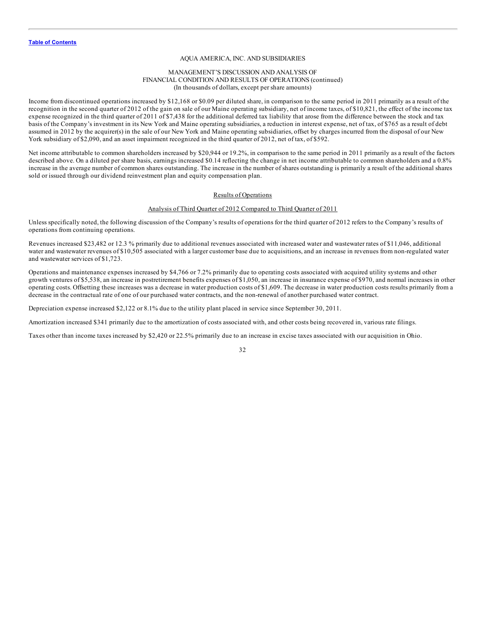#### MANAGEMENT'S DISCUSSION AND ANALYSIS OF FINANCIAL CONDITION AND RESULTS OF OPERATIONS (continued) (In thousands of dollars, except per share amounts)

Income from discontinued operations increased by \$12,168 or \$0.09 per diluted share, in comparison to the same period in 2011 primarily as a result of the recognition in the second quarter of 2012 of the gain on sale of our Maine operating subsidiary, net of income taxes, of \$10,821, the effect of the income tax expense recognized in the third quarter of 2011 of \$7,438 for the additional deferred tax liability that arose from the difference between the stock and tax basis of the Company's investment in its New York and Maine operating subsidiaries, a reduction in interest expense, net of tax, of \$765 as a result of debt assumed in 2012 by the acquirer(s) in the sale of our New York and Maine operating subsidiaries, offset by charges incurred from the disposal of our New York subsidiary of \$2,090, and an asset impairment recognized in the third quarter of 2012, net of tax, of \$592.

Net income attributable to common shareholders increased by \$20,944 or 19.2%, in comparison to the same period in 2011 primarily as a result of the factors described above. On a diluted per share basis, earnings increased \$0.14 reflecting the change in net income attributable to common shareholders and a 0.8% increase in the average number of common shares outstanding. The increase in the number of shares outstanding is primarily a result of the additional shares sold or issued through our dividend reinvestment plan and equity compensation plan.

#### Results of Operations

# Analysis of Third Quarter of 2012 Compared to Third Quarter of 2011

Unless specifically noted, the following discussion of the Company's results of operations for the third quarter of 2012 refers to the Company's results of operations from continuing operations.

Revenues increased \$23,482 or 12.3 % primarily due to additional revenues associated with increased water and wastewater rates of \$11,046, additional water and wastewater revenues of \$10,505 associated with a larger customer base due to acquisitions, and an increase in revenues from non-regulated water and wastewater services of \$1,723.

Operations and maintenance expenses increased by \$4,766 or 7.2% primarily due to operating costs associated with acquired utility systems and other growth ventures of \$5,538, an increase in postretirement benefits expenses of \$1,050, an increase in insurance expense of \$970, and normal increases in other operating costs. Offsetting these increases was a decrease in water production costs of \$1,609. The decrease in water production costs results primarily from a decrease in the contractual rate of one of our purchased water contracts, and the non-renewal of another purchased water contract.

Depreciation expense increased \$2,122 or 8.1% due to the utility plant placed in service since September 30, 2011.

Amortization increased \$341 primarily due to the amortization of costs associated with, and other costs being recovered in, various rate filings.

Taxes other than income taxes increased by \$2,420 or 22.5% primarily due to an increase in excise taxes associated with our acquisition in Ohio.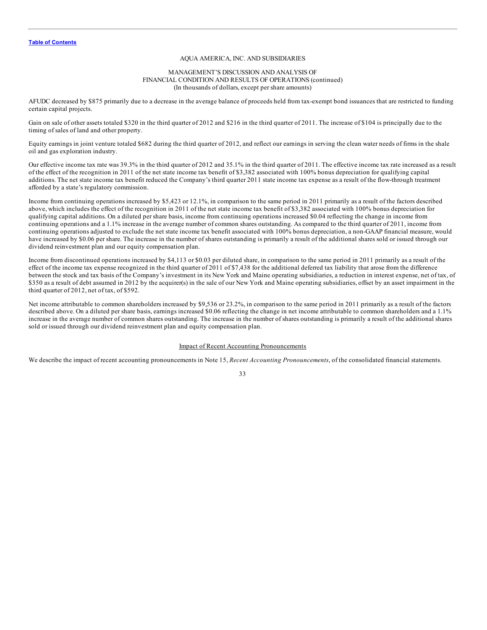#### MANAGEMENT'S DISCUSSION AND ANALYSIS OF FINANCIAL CONDITION AND RESULTS OF OPERATIONS (continued) (In thousands of dollars, except per share amounts)

AFUDC decreased by \$875 primarily due to a decrease in the average balance of proceeds held from tax-exempt bond issuances that are restricted to funding certain capital projects.

Gain on sale of other assets totaled \$320 in the third quarter of 2012 and \$216 in the third quarter of 2011. The increase of \$104 is principally due to the timing of sales of land and other property.

Equity earnings in joint venture totaled \$682 during the third quarter of 2012, and reflect our earnings in serving the clean water needs of firms in the shale oil and gas exploration industry.

Our effective income tax rate was 39.3% in the third quarter of 2012 and 35.1% in the third quarter of 2011. The effective income tax rate increased as a result of the effect of the recognition in 2011 of the net state income tax benefit of \$3,382 associated with 100% bonus depreciation for qualifying capital additions. The net state income tax benefit reduced the Company's third quarter 2011 state income tax expense as a result of the flow-through treatment afforded by a state's regulatory commission.

Income from continuing operations increased by \$5,423 or 12.1%, in comparison to the same period in 2011 primarily as a result of the factors described above, which includes the effect of the recognition in 2011 of the net state income tax benefit of \$3,382 associated with 100% bonus depreciation for qualifying capital additions. On a diluted per share basis, income from continuing operations increased \$0.04 reflecting the change in income from continuing operations and a 1.1% increase in the average number of common shares outstanding. As compared to the third quarter of 2011, income from continuing operations adjusted to exclude the net state income tax benefit associated with 100% bonus depreciation, a non-GAAP financial measure, would have increased by \$0.06 per share. The increase in the number of shares outstanding is primarily a result of the additional shares sold or issued through our dividend reinvestment plan and our equity compensation plan.

Income from discontinued operations increased by \$4,113 or \$0.03 per diluted share, in comparison to the same period in 2011 primarily as a result of the effect of the income tax expense recognized in the third quarter of 2011 of \$7,438 for the additional deferred tax liability that arose from the difference between the stock and tax basis of the Company's investment in its New York and Maine operating subsidiaries, a reduction in interest expense, net of tax, of \$350 as a result of debt assumed in 2012 by the acquirer(s) in the sale of our New York and Maine operating subsidiaries, offset by an asset impairment in the third quarter of 2012, net of tax, of \$592.

Net income attributable to common shareholders increased by \$9,536 or 23.2%, in comparison to the same period in 2011 primarily as a result of the factors described above. On a diluted per share basis, earnings increased \$0.06 reflecting the change in net income attributable to common shareholders and a 1.1% increase in the average number of common shares outstanding. The increase in the number of shares outstanding is primarily a result of the additional shares sold or issued through our dividend reinvestment plan and equity compensation plan.

#### Impact of Recent Accounting Pronouncements

We describe the impact of recent accounting pronouncements in Note 15, *Recent Accounting Pronouncements*, of the consolidated financial statements.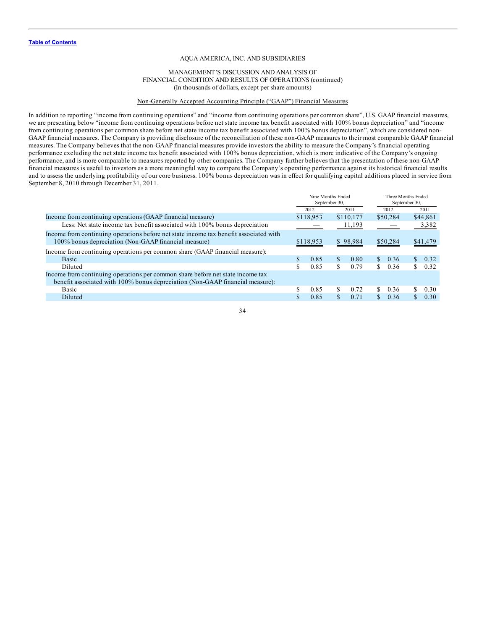#### MANAGEMENT'S DISCUSSION AND ANALYSIS OF FINANCIAL CONDITION AND RESULTS OF OPERATIONS (continued) (In thousands of dollars, except per share amounts)

# Non-Generally Accepted Accounting Principle ("GAAP") Financial Measures

In addition to reporting "income from continuing operations" and "income from continuing operations per common share", U.S. GAAP financial measures, we are presenting below "income from continuing operations before net state income tax benefit associated with 100% bonus depreciation" and "income from continuing operations per common share before net state income tax benefit associated with 100% bonus depreciation", which are considered non-GAAP financial measures. The Company is providing disclosure of the reconciliation of these non-GAAP measures to their most comparable GAAP financial measures. The Company believes that the non-GAAP financial measures provide investors the ability to measure the Company's financial operating performance excluding the net state income tax benefit associated with 100% bonus depreciation, which is more indicative of the Company's ongoing performance, and is more comparable to measures reported by other companies. The Company further believes that the presentation of these non-GAAP financial measures is useful to investors as a more meaningful way to compare the Company's operating performance against its historical financial results and to assess the underlying profitability of our core business. 100% bonus depreciation was in effect for qualifying capital additions placed in service from September 8, 2010 through December 31, 2011.

|                                                                                                                                                                 | Nine Months Ended<br>September 30, |           | Three Months Ended<br>September 30, |           |    |          |                |          |
|-----------------------------------------------------------------------------------------------------------------------------------------------------------------|------------------------------------|-----------|-------------------------------------|-----------|----|----------|----------------|----------|
|                                                                                                                                                                 |                                    | 2012      |                                     | 2011      |    | 2012     |                | 2011     |
| Income from continuing operations (GAAP financial measure)                                                                                                      |                                    | \$118.953 |                                     | \$110,177 |    | \$50,284 |                | \$44,861 |
| Less: Net state income tax benefit associated with 100% bonus depreciation                                                                                      |                                    |           |                                     | 11,193    |    |          |                | 3,382    |
| Income from continuing operations before net state income tax benefit associated with<br>100% bonus depreciation (Non-GAAP financial measure)                   |                                    | \$118,953 |                                     | \$98,984  |    | \$50,284 |                | \$41,479 |
| Income from continuing operations per common share (GAAP financial measure):                                                                                    |                                    |           |                                     |           |    |          |                |          |
| Basic                                                                                                                                                           |                                    | 0.85      | \$.                                 | 0.80      | S. | 0.36     | $\mathbb{S}^-$ | 0.32     |
| Diluted                                                                                                                                                         |                                    | 0.85      | S                                   | 0.79      | S. | 0.36     | S.             | 0.32     |
| Income from continuing operations per common share before net state income tax<br>benefit associated with 100% bonus depreciation (Non-GAAP financial measure): |                                    |           |                                     |           |    |          |                |          |
| <b>Basic</b>                                                                                                                                                    |                                    | 0.85      | S                                   | 0.72      | S. | 0.36     | S.             | 0.30     |
| Diluted                                                                                                                                                         |                                    | 0.85      |                                     | 0.71      |    | 0.36     |                | 0.30     |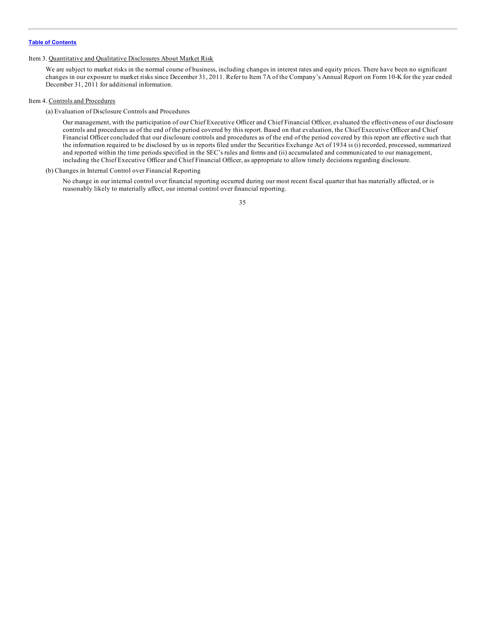#### <span id="page-35-0"></span>Item 3. Quantitative and Qualitative Disclosures About Market Risk

We are subject to market risks in the normal course of business, including changes in interest rates and equity prices. There have been no significant changes in our exposure to market risks since December 31, 2011. Refer to Item 7A of the Company's Annual Report on Form 10-K for the year ended December 31, 2011 for additional information.

#### Item 4. Controls and Procedures

(a) Evaluation of Disclosure Controls and Procedures

Our management, with the participation of our Chief Executive Officer and Chief Financial Officer, evaluated the effectiveness of our disclosure controls and procedures as of the end of the period covered by this report. Based on that evaluation, the Chief Executive Officer and Chief Financial Officer concluded that our disclosure controls and procedures as of the end of the period covered by this report are effective such that the information required to be disclosed by us in reports filed under the Securities Exchange Act of 1934 is (i) recorded, processed, summarized and reported within the time periods specified in the SEC's rules and forms and (ii) accumulated and communicated to our management, including the Chief Executive Officer and Chief Financial Officer, as appropriate to allow timely decisions regarding disclosure.

#### (b) Changes in Internal Control over Financial Reporting

No change in our internal control over financial reporting occurred during our most recent fiscal quarter that has materially affected, or is reasonably likely to materially affect, our internal control over financial reporting.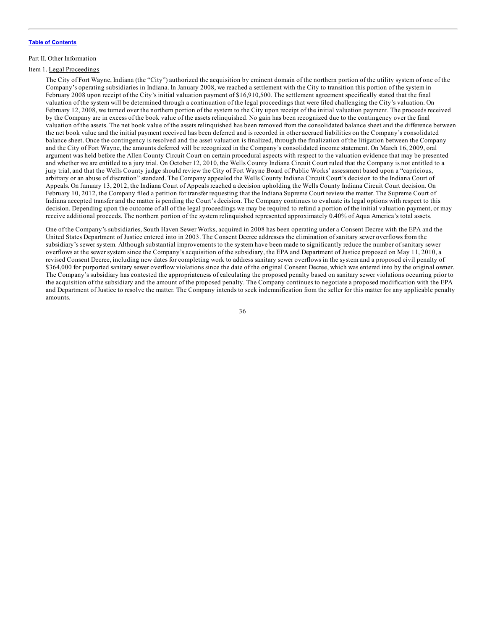#### <span id="page-36-0"></span>Part II. Other Information

# Item 1. Legal Proceedings

The City of Fort Wayne, Indiana (the "City") authorized the acquisition by eminent domain of the northern portion of the utility system of one of the Company's operating subsidiaries in Indiana. In January 2008, we reached a settlement with the City to transition this portion of the system in February 2008 upon receipt of the City's initial valuation payment of \$16,910,500. The settlement agreement specifically stated that the final valuation of the system will be determined through a continuation of the legal proceedings that were filed challenging the City's valuation. On February 12, 2008, we turned over the northern portion of the system to the City upon receipt of the initial valuation payment. The proceeds received by the Company are in excess of the book value of the assets relinquished. No gain has been recognized due to the contingency over the final valuation of the assets. The net book value of the assets relinquished has been removed from the consolidated balance sheet and the difference between the net book value and the initial payment received has been deferred and is recorded in other accrued liabilities on the Company's consolidated balance sheet. Once the contingency is resolved and the asset valuation is finalized, through the finalization of the litigation between the Company and the City of Fort Wayne, the amounts deferred will be recognized in the Company's consolidated income statement. On March 16, 2009, oral argument was held before the Allen County Circuit Court on certain procedural aspects with respect to the valuation evidence that may be presented and whether we are entitled to a jury trial. On October 12, 2010, the Wells County Indiana Circuit Court ruled that the Company is not entitled to a jury trial, and that the Wells County judge should review the City of Fort Wayne Board of Public Works' assessment based upon a "capricious, arbitrary or an abuse of discretion" standard. The Company appealed the Wells County Indiana Circuit Court's decision to the Indiana Court of Appeals. On January 13, 2012, the Indiana Court of Appeals reached a decision upholding the Wells County Indiana Circuit Court decision. On February 10, 2012, the Company filed a petition for transfer requesting that the Indiana Supreme Court review the matter. The Supreme Court of Indiana accepted transfer and the matter is pending the Court's decision. The Company continues to evaluate its legal options with respect to this decision. Depending upon the outcome of all of the legal proceedings we may be required to refund a portion of the initial valuation payment, or may receive additional proceeds. The northern portion of the system relinquished represented approximately 0.40% of Aqua America's total assets.

One of the Company's subsidiaries, South Haven Sewer Works, acquired in 2008 has been operating under a Consent Decree with the EPA and the United States Department of Justice entered into in 2003. The Consent Decree addresses the elimination of sanitary sewer overflows from the subsidiary's sewer system. Although substantial improvements to the system have been made to significantly reduce the number of sanitary sewer overflows at the sewer system since the Company's acquisition of the subsidiary, the EPA and Department of Justice proposed on May 11, 2010, a revised Consent Decree, including new dates for completing work to address sanitary sewer overflows in the system and a proposed civil penalty of \$364,000 for purported sanitary sewer overflow violations since the date of the original Consent Decree, which was entered into by the original owner. The Company's subsidiary has contested the appropriateness of calculating the proposed penalty based on sanitary sewer violations occurring prior to the acquisition of the subsidiary and the amount of the proposed penalty. The Company continues to negotiate a proposed modification with the EPA and Department of Justice to resolve the matter. The Company intends to seek indemnification from the seller for this matter for any applicable penalty amounts.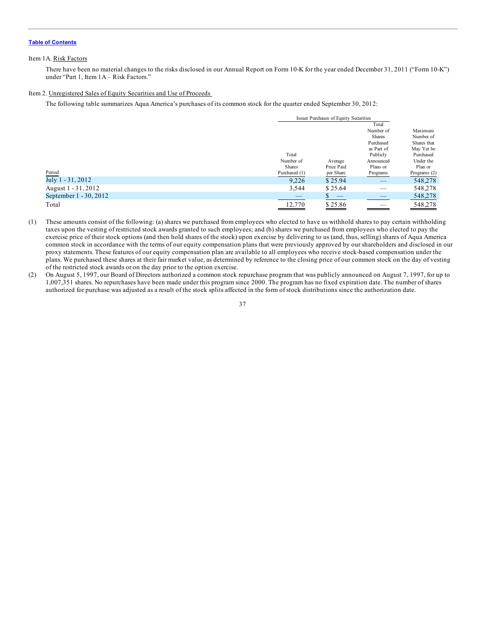## <span id="page-37-0"></span>Item 1A. Risk Factors

There have been no material changes to the risks disclosed in our Annual Report on Form 10-K for the year ended December 31, 2011 ("Form 10-K") under "Part 1, Item 1A – Risk Factors."

### Item 2. Unregistered Sales of Equity Securities and Use of Proceeds

The following table summarizes Aqua America's purchases of its common stock for the quarter ended September 30, 2012:

|                        |               | Issuer Purchases of Equity Securities |               |              |  |
|------------------------|---------------|---------------------------------------|---------------|--------------|--|
|                        |               |                                       | Total         |              |  |
|                        |               |                                       | Number of     | Maximum      |  |
|                        |               |                                       | <b>Shares</b> | Number of    |  |
|                        |               |                                       | Purchased     | Shares that  |  |
|                        |               |                                       | as Part of    | May Yet be   |  |
|                        | Total         |                                       | Publicly      | Purchased    |  |
|                        | Number of     | Average                               | Announced     | Under the    |  |
|                        | <b>Shares</b> | Price Paid                            | Plans or      | Plan or      |  |
| Period                 | Purchased (1) | per Share                             | Programs      | Programs (2) |  |
| July 1 - 31, 2012      | 9,226         | \$25.94                               | __            | 548,278      |  |
| August 1 - 31, 2012    | 3,544         | \$25.64                               |               | 548,278      |  |
| September 1 - 30, 2012 |               |                                       |               | 548,278      |  |
| Total                  | 12,770        | \$25.86                               |               | 548,278      |  |

- (1) These amounts consist of the following: (a) shares we purchased from employees who elected to have us withhold shares to pay certain withholding taxes upon the vesting of restricted stock awards granted to such employees; and (b) shares we purchased from employees who elected to pay the exercise price of their stock options (and then hold shares of the stock) upon exercise by delivering to us (and, thus, selling) shares of Aqua America common stock in accordance with the terms of our equity compensation plans that were previously approved by our shareholders and disclosed in our proxy statements. These features of our equity compensation plan are available to all employees who receive stock-based compensation under the plans. We purchased these shares at their fair market value, as determined by reference to the closing price of our common stock on the day of vesting of the restricted stock awards or on the day prior to the option exercise.
- (2) On August 5, 1997, our Board of Directors authorized a common stock repurchase program that was publicly announced on August 7, 1997, for up to 1,007,351 shares. No repurchases have been made under this program since 2000. The program has no fixed expiration date. The number of shares authorized for purchase was adjusted as a result of the stock splits affected in the form of stock distributions since the authorization date.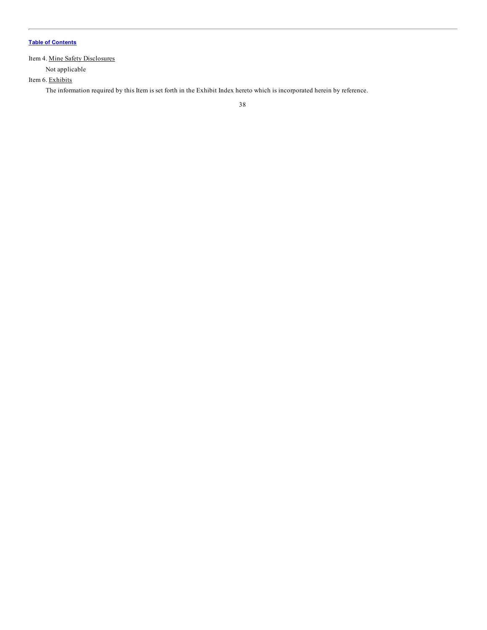# <span id="page-38-0"></span>Item 4. Mine Safety Disclosures

Not applicable

Item 6. Exhibits

The information required by this Item is set forth in the Exhibit Index hereto which is incorporated herein by reference.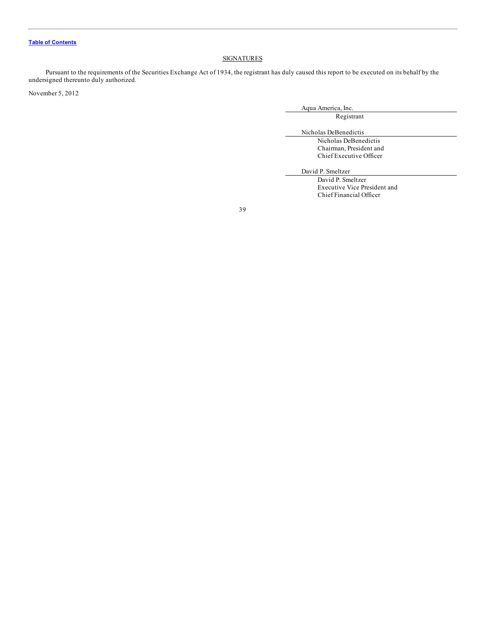# **SIGNATURES**

<span id="page-39-0"></span>Pursuant to the requirements of the Securities Exchange Act of 1934, the registrant has duly caused this report to be executed on its behalf by the undersigned thereunto duly authorized.

November 5, 2012

Aqua America, Inc.

Registrant

Nicholas DeBenedictis

Nicholas DeBenedictis Chairman, President and Chief Executive Officer

David P. Smeltzer

David P. Smeltzer Executive Vice President and Chief Financial Officer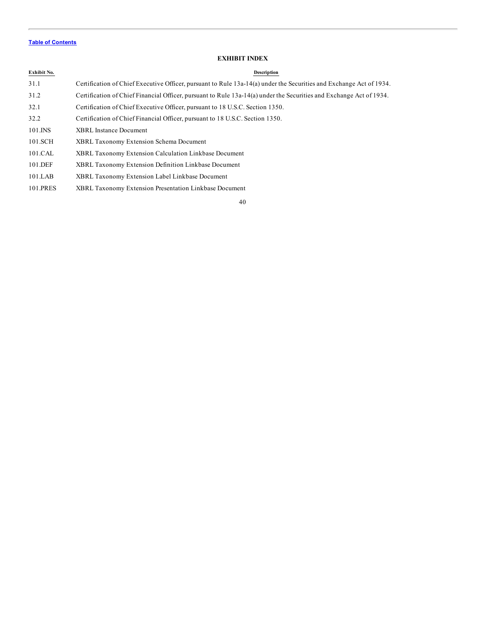# **EXHIBIT INDEX**

# <span id="page-40-0"></span>**Exhibit No. Description**

| 31.1        | Certification of Chief Executive Officer, pursuant to Rule 13a-14(a) under the Securities and Exchange Act of 1934. |
|-------------|---------------------------------------------------------------------------------------------------------------------|
| 31.2        | Certification of Chief Financial Officer, pursuant to Rule 13a-14(a) under the Securities and Exchange Act of 1934. |
| 32.1        | Certification of Chief Executive Officer, pursuant to 18 U.S.C. Section 1350.                                       |
| 32.2        | Certification of Chief Financial Officer, pursuant to 18 U.S.C. Section 1350.                                       |
| $101$ . INS | <b>XBRL</b> Instance Document                                                                                       |
| 101.SCH     | <b>XBRL Taxonomy Extension Schema Document</b>                                                                      |
| 101.CAL     | <b>XBRL Taxonomy Extension Calculation Linkbase Document</b>                                                        |
| 101.DEF     | <b>XBRL Taxonomy Extension Definition Linkbase Document</b>                                                         |
| $101$ .LAB  | XBRL Taxonomy Extension Label Linkbase Document                                                                     |

101.PRES XBRL Taxonomy Extension Presentation Linkbase Document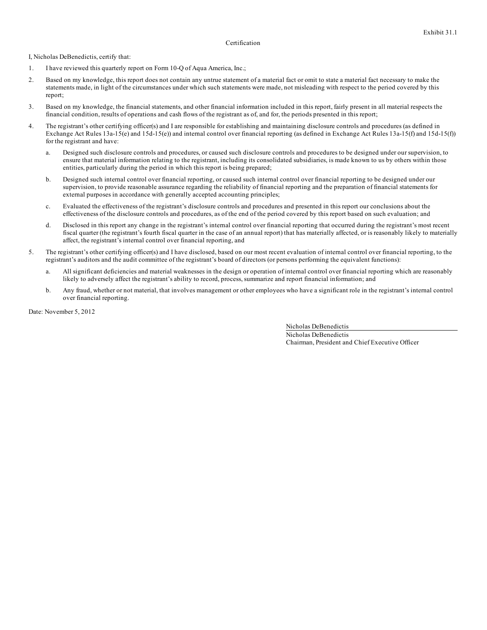# Certification

I, Nicholas DeBenedictis, certify that:

- 1. I have reviewed this quarterly report on Form 10-Q of Aqua America, Inc.;
- 2. Based on my knowledge, this report does not contain any untrue statement of a material fact or omit to state a material fact necessary to make the statements made, in light of the circumstances under which such statements were made, not misleading with respect to the period covered by this report;
- 3. Based on my knowledge, the financial statements, and other financial information included in this report, fairly present in all material respects the financial condition, results of operations and cash flows of the registrant as of, and for, the periods presented in this report;
- 4. The registrant's other certifying officer(s) and I are responsible for establishing and maintaining disclosure controls and procedures (as defined in Exchange Act Rules 13a-15(e) and 15d-15(e)) and internal control over financial reporting (as defined in Exchange Act Rules 13a-15(f) and 15d-15(f)) for the registrant and have:
	- a. Designed such disclosure controls and procedures, or caused such disclosure controls and procedures to be designed under our supervision, to ensure that material information relating to the registrant, including its consolidated subsidiaries, is made known to us by others within those entities, particularly during the period in which this report is being prepared;
	- b. Designed such internal control over financial reporting, or caused such internal control over financial reporting to be designed under our supervision, to provide reasonable assurance regarding the reliability of financial reporting and the preparation of financial statements for external purposes in accordance with generally accepted accounting principles;
	- c. Evaluated the effectiveness of the registrant's disclosure controls and procedures and presented in this report our conclusions about the effectiveness of the disclosure controls and procedures, as of the end of the period covered by this report based on such evaluation; and
	- d. Disclosed in this report any change in the registrant's internal control over financial reporting that occurred during the registrant's most recent fiscal quarter (the registrant's fourth fiscal quarter in the case of an annual report) that has materially affected, or is reasonably likely to materially affect, the registrant's internal control over financial reporting, and
- 5. The registrant's other certifying officer(s) and I have disclosed, based on our most recent evaluation of internal control over financial reporting, to the registrant's auditors and the audit committee of the registrant's board of directors (or persons performing the equivalent functions):
	- a. All significant deficiencies and material weaknesses in the design or operation of internal control over financial reporting which are reasonably likely to adversely affect the registrant's ability to record, process, summarize and report financial information; and
	- b. Any fraud, whether or not material, that involves management or other employees who have a significant role in the registrant's internal control over financial reporting.

Date: November 5, 2012

Nicholas DeBenedictis Nicholas DeBenedictis Chairman, President and Chief Executive Officer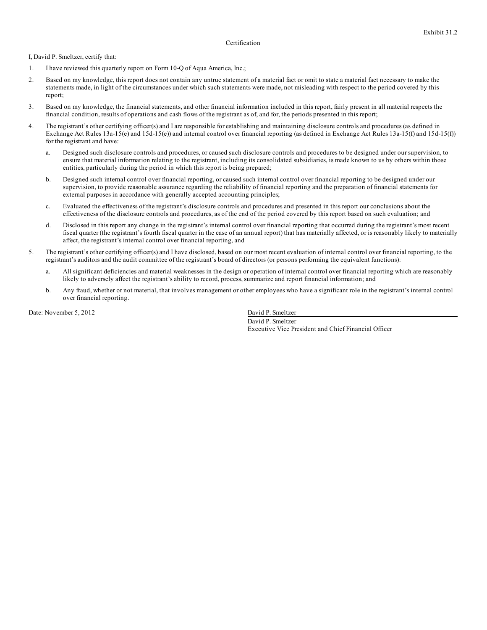# Certification

I, David P. Smeltzer, certify that:

- 1. I have reviewed this quarterly report on Form 10-Q of Aqua America, Inc.;
- 2. Based on my knowledge, this report does not contain any untrue statement of a material fact or omit to state a material fact necessary to make the statements made, in light of the circumstances under which such statements were made, not misleading with respect to the period covered by this report;
- 3. Based on my knowledge, the financial statements, and other financial information included in this report, fairly present in all material respects the financial condition, results of operations and cash flows of the registrant as of, and for, the periods presented in this report;
- 4. The registrant's other certifying officer(s) and I are responsible for establishing and maintaining disclosure controls and procedures (as defined in Exchange Act Rules 13a-15(e) and 15d-15(e)) and internal control over financial reporting (as defined in Exchange Act Rules 13a-15(f) and 15d-15(f)) for the registrant and have:
	- a. Designed such disclosure controls and procedures, or caused such disclosure controls and procedures to be designed under our supervision, to ensure that material information relating to the registrant, including its consolidated subsidiaries, is made known to us by others within those entities, particularly during the period in which this report is being prepared;
	- b. Designed such internal control over financial reporting, or caused such internal control over financial reporting to be designed under our supervision, to provide reasonable assurance regarding the reliability of financial reporting and the preparation of financial statements for external purposes in accordance with generally accepted accounting principles;
	- c. Evaluated the effectiveness of the registrant's disclosure controls and procedures and presented in this report our conclusions about the effectiveness of the disclosure controls and procedures, as of the end of the period covered by this report based on such evaluation; and
	- d. Disclosed in this report any change in the registrant's internal control over financial reporting that occurred during the registrant's most recent fiscal quarter (the registrant's fourth fiscal quarter in the case of an annual report) that has materially affected, or is reasonably likely to materially affect, the registrant's internal control over financial reporting, and
- 5. The registrant's other certifying officer(s) and I have disclosed, based on our most recent evaluation of internal control over financial reporting, to the registrant's auditors and the audit committee of the registrant's board of directors (or persons performing the equivalent functions):
	- a. All significant deficiencies and material weaknesses in the design or operation of internal control over financial reporting which are reasonably likely to adversely affect the registrant's ability to record, process, summarize and report financial information; and
	- b. Any fraud, whether or not material, that involves management or other employees who have a significant role in the registrant's internal control over financial reporting.

Date: November 5, 2012 David P. Smeltzer

David P. Smeltzer Executive Vice President and Chief Financial Officer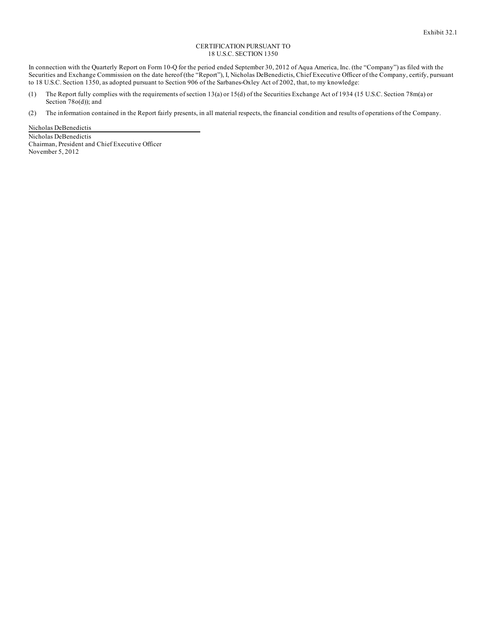#### CERTIFICATION PURSUANT TO 18 U.S.C. SECTION 1350

In connection with the Quarterly Report on Form 10-Q for the period ended September 30, 2012 of Aqua America, Inc. (the "Company") as filed with the Securities and Exchange Commission on the date hereof (the "Report"), I, Nicholas DeBenedictis, Chief Executive Officer of the Company, certify, pursuant to 18 U.S.C. Section 1350, as adopted pursuant to Section 906 of the Sarbanes-Oxley Act of 2002, that, to my knowledge:

- (1) The Report fully complies with the requirements of section 13(a) or 15(d) of the Securities Exchange Act of 1934 (15 U.S.C. Section 78m(a) or Section 78o(d)); and
- (2) The information contained in the Report fairly presents, in all material respects, the financial condition and results of operations of the Company.

Nicholas DeBenedictis

Nicholas DeBenedictis Chairman, President and Chief Executive Officer November 5, 2012